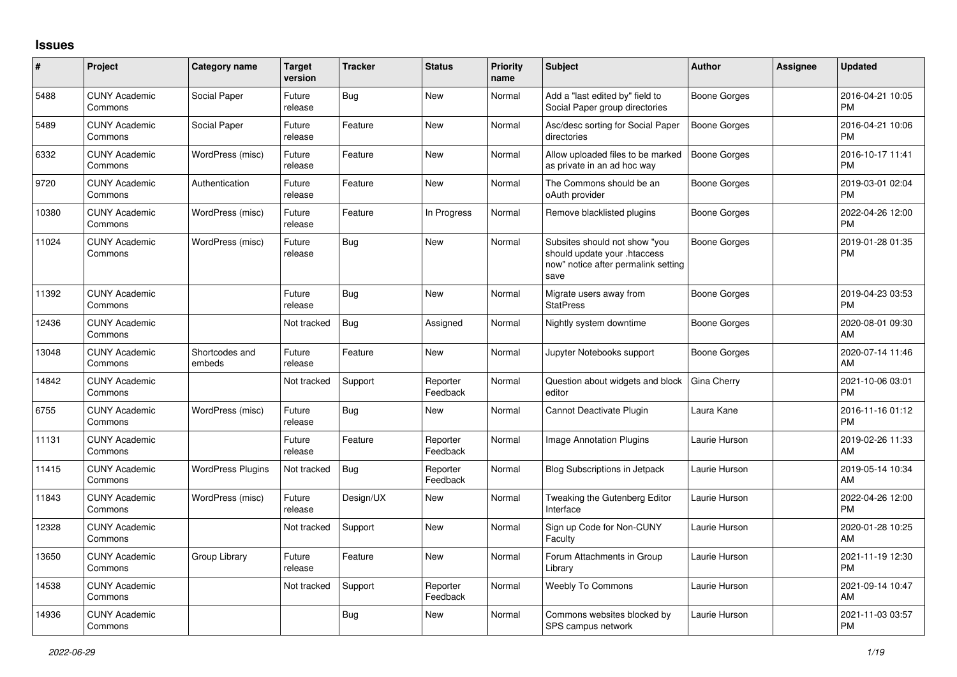## **Issues**

| #     | Project                         | <b>Category name</b>     | <b>Target</b><br>version | <b>Tracker</b> | <b>Status</b>        | <b>Priority</b><br>name | <b>Subject</b>                                                                                               | <b>Author</b>       | <b>Assignee</b> | <b>Updated</b>                |
|-------|---------------------------------|--------------------------|--------------------------|----------------|----------------------|-------------------------|--------------------------------------------------------------------------------------------------------------|---------------------|-----------------|-------------------------------|
| 5488  | <b>CUNY Academic</b><br>Commons | Social Paper             | Future<br>release        | Bug            | <b>New</b>           | Normal                  | Add a "last edited by" field to<br>Social Paper group directories                                            | <b>Boone Gorges</b> |                 | 2016-04-21 10:05<br><b>PM</b> |
| 5489  | <b>CUNY Academic</b><br>Commons | Social Paper             | Future<br>release        | Feature        | <b>New</b>           | Normal                  | Asc/desc sorting for Social Paper<br>directories                                                             | <b>Boone Gorges</b> |                 | 2016-04-21 10:06<br><b>PM</b> |
| 6332  | <b>CUNY Academic</b><br>Commons | WordPress (misc)         | Future<br>release        | Feature        | <b>New</b>           | Normal                  | Allow uploaded files to be marked<br>as private in an ad hoc way                                             | <b>Boone Gorges</b> |                 | 2016-10-17 11:41<br><b>PM</b> |
| 9720  | <b>CUNY Academic</b><br>Commons | Authentication           | Future<br>release        | Feature        | <b>New</b>           | Normal                  | The Commons should be an<br>oAuth provider                                                                   | <b>Boone Gorges</b> |                 | 2019-03-01 02:04<br><b>PM</b> |
| 10380 | <b>CUNY Academic</b><br>Commons | WordPress (misc)         | Future<br>release        | Feature        | In Progress          | Normal                  | Remove blacklisted plugins                                                                                   | <b>Boone Gorges</b> |                 | 2022-04-26 12:00<br><b>PM</b> |
| 11024 | <b>CUNY Academic</b><br>Commons | WordPress (misc)         | Future<br>release        | Bug            | <b>New</b>           | Normal                  | Subsites should not show "you<br>should update your .htaccess<br>now" notice after permalink setting<br>save | <b>Boone Gorges</b> |                 | 2019-01-28 01:35<br><b>PM</b> |
| 11392 | <b>CUNY Academic</b><br>Commons |                          | Future<br>release        | <b>Bug</b>     | <b>New</b>           | Normal                  | Migrate users away from<br><b>StatPress</b>                                                                  | <b>Boone Gorges</b> |                 | 2019-04-23 03:53<br><b>PM</b> |
| 12436 | <b>CUNY Academic</b><br>Commons |                          | Not tracked              | Bug            | Assigned             | Normal                  | Nightly system downtime                                                                                      | <b>Boone Gorges</b> |                 | 2020-08-01 09:30<br>AM        |
| 13048 | <b>CUNY Academic</b><br>Commons | Shortcodes and<br>embeds | Future<br>release        | Feature        | <b>New</b>           | Normal                  | Jupyter Notebooks support                                                                                    | <b>Boone Gorges</b> |                 | 2020-07-14 11:46<br>AM        |
| 14842 | <b>CUNY Academic</b><br>Commons |                          | Not tracked              | Support        | Reporter<br>Feedback | Normal                  | Question about widgets and block<br>editor                                                                   | Gina Cherry         |                 | 2021-10-06 03:01<br><b>PM</b> |
| 6755  | <b>CUNY Academic</b><br>Commons | WordPress (misc)         | Future<br>release        | Bug            | <b>New</b>           | Normal                  | Cannot Deactivate Plugin                                                                                     | Laura Kane          |                 | 2016-11-16 01:12<br><b>PM</b> |
| 11131 | <b>CUNY Academic</b><br>Commons |                          | Future<br>release        | Feature        | Reporter<br>Feedback | Normal                  | <b>Image Annotation Plugins</b>                                                                              | Laurie Hurson       |                 | 2019-02-26 11:33<br>AM        |
| 11415 | <b>CUNY Academic</b><br>Commons | <b>WordPress Plugins</b> | Not tracked              | <b>Bug</b>     | Reporter<br>Feedback | Normal                  | <b>Blog Subscriptions in Jetpack</b>                                                                         | Laurie Hurson       |                 | 2019-05-14 10:34<br>AM        |
| 11843 | <b>CUNY Academic</b><br>Commons | WordPress (misc)         | Future<br>release        | Design/UX      | New                  | Normal                  | Tweaking the Gutenberg Editor<br>Interface                                                                   | Laurie Hurson       |                 | 2022-04-26 12:00<br><b>PM</b> |
| 12328 | <b>CUNY Academic</b><br>Commons |                          | Not tracked              | Support        | New                  | Normal                  | Sign up Code for Non-CUNY<br>Faculty                                                                         | Laurie Hurson       |                 | 2020-01-28 10:25<br>AM        |
| 13650 | <b>CUNY Academic</b><br>Commons | Group Library            | Future<br>release        | Feature        | New                  | Normal                  | Forum Attachments in Group<br>Library                                                                        | Laurie Hurson       |                 | 2021-11-19 12:30<br><b>PM</b> |
| 14538 | <b>CUNY Academic</b><br>Commons |                          | Not tracked              | Support        | Reporter<br>Feedback | Normal                  | <b>Weebly To Commons</b>                                                                                     | Laurie Hurson       |                 | 2021-09-14 10:47<br>AM        |
| 14936 | <b>CUNY Academic</b><br>Commons |                          |                          | Bug            | <b>New</b>           | Normal                  | Commons websites blocked by<br>SPS campus network                                                            | Laurie Hurson       |                 | 2021-11-03 03:57<br><b>PM</b> |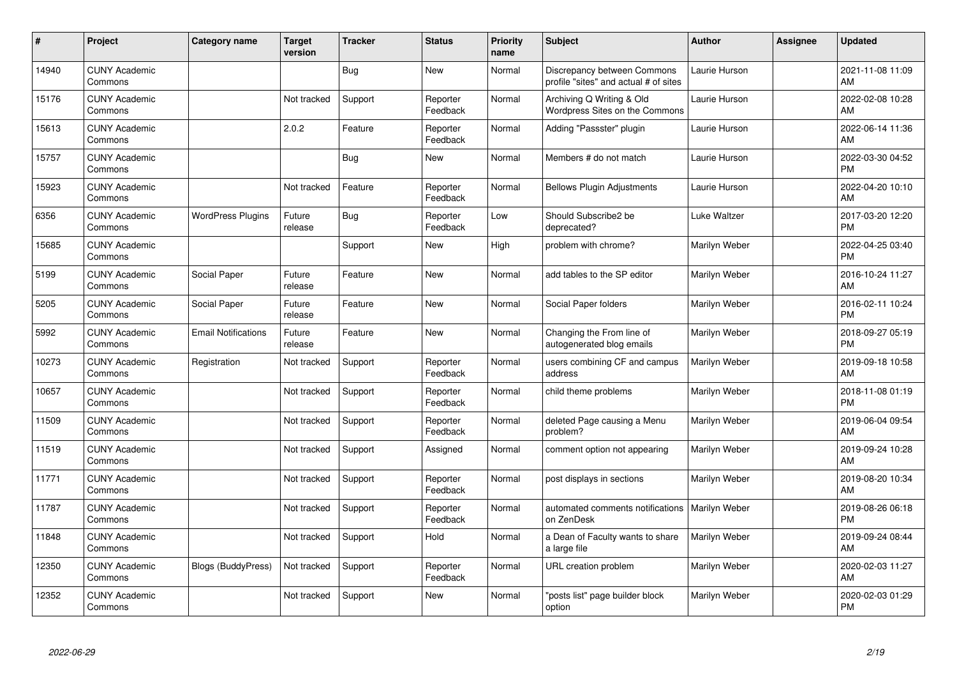| #     | Project                         | <b>Category name</b>       | <b>Target</b><br>version | <b>Tracker</b> | <b>Status</b>        | <b>Priority</b><br>name | <b>Subject</b>                                                       | <b>Author</b>        | <b>Assignee</b> | <b>Updated</b>                |
|-------|---------------------------------|----------------------------|--------------------------|----------------|----------------------|-------------------------|----------------------------------------------------------------------|----------------------|-----------------|-------------------------------|
| 14940 | <b>CUNY Academic</b><br>Commons |                            |                          | Bug            | <b>New</b>           | Normal                  | Discrepancy between Commons<br>profile "sites" and actual # of sites | Laurie Hurson        |                 | 2021-11-08 11:09<br>AM        |
| 15176 | <b>CUNY Academic</b><br>Commons |                            | Not tracked              | Support        | Reporter<br>Feedback | Normal                  | Archiving Q Writing & Old<br>Wordpress Sites on the Commons          | Laurie Hurson        |                 | 2022-02-08 10:28<br>AM        |
| 15613 | <b>CUNY Academic</b><br>Commons |                            | 2.0.2                    | Feature        | Reporter<br>Feedback | Normal                  | Adding "Passster" plugin                                             | Laurie Hurson        |                 | 2022-06-14 11:36<br>AM        |
| 15757 | <b>CUNY Academic</b><br>Commons |                            |                          | Bug            | <b>New</b>           | Normal                  | Members # do not match                                               | Laurie Hurson        |                 | 2022-03-30 04:52<br><b>PM</b> |
| 15923 | <b>CUNY Academic</b><br>Commons |                            | Not tracked              | Feature        | Reporter<br>Feedback | Normal                  | <b>Bellows Plugin Adjustments</b>                                    | Laurie Hurson        |                 | 2022-04-20 10:10<br>AM        |
| 6356  | <b>CUNY Academic</b><br>Commons | <b>WordPress Plugins</b>   | Future<br>release        | <b>Bug</b>     | Reporter<br>Feedback | Low                     | Should Subscribe2 be<br>deprecated?                                  | <b>Luke Waltzer</b>  |                 | 2017-03-20 12:20<br><b>PM</b> |
| 15685 | <b>CUNY Academic</b><br>Commons |                            |                          | Support        | <b>New</b>           | High                    | problem with chrome?                                                 | Marilyn Weber        |                 | 2022-04-25 03:40<br><b>PM</b> |
| 5199  | <b>CUNY Academic</b><br>Commons | Social Paper               | Future<br>release        | Feature        | <b>New</b>           | Normal                  | add tables to the SP editor                                          | Marilyn Weber        |                 | 2016-10-24 11:27<br>AM        |
| 5205  | <b>CUNY Academic</b><br>Commons | Social Paper               | Future<br>release        | Feature        | New                  | Normal                  | Social Paper folders                                                 | Marilyn Weber        |                 | 2016-02-11 10:24<br><b>PM</b> |
| 5992  | <b>CUNY Academic</b><br>Commons | <b>Email Notifications</b> | Future<br>release        | Feature        | <b>New</b>           | Normal                  | Changing the From line of<br>autogenerated blog emails               | Marilyn Weber        |                 | 2018-09-27 05:19<br><b>PM</b> |
| 10273 | <b>CUNY Academic</b><br>Commons | Registration               | Not tracked              | Support        | Reporter<br>Feedback | Normal                  | users combining CF and campus<br>address                             | Marilyn Weber        |                 | 2019-09-18 10:58<br>AM        |
| 10657 | <b>CUNY Academic</b><br>Commons |                            | Not tracked              | Support        | Reporter<br>Feedback | Normal                  | child theme problems                                                 | Marilyn Weber        |                 | 2018-11-08 01:19<br><b>PM</b> |
| 11509 | <b>CUNY Academic</b><br>Commons |                            | Not tracked              | Support        | Reporter<br>Feedback | Normal                  | deleted Page causing a Menu<br>problem?                              | Marilyn Weber        |                 | 2019-06-04 09:54<br>AM        |
| 11519 | <b>CUNY Academic</b><br>Commons |                            | Not tracked              | Support        | Assigned             | Normal                  | comment option not appearing                                         | Marilyn Weber        |                 | 2019-09-24 10:28<br>AM        |
| 11771 | <b>CUNY Academic</b><br>Commons |                            | Not tracked              | Support        | Reporter<br>Feedback | Normal                  | post displays in sections                                            | Marilyn Weber        |                 | 2019-08-20 10:34<br>AM        |
| 11787 | <b>CUNY Academic</b><br>Commons |                            | Not tracked              | Support        | Reporter<br>Feedback | Normal                  | automated comments notifications  <br>on ZenDesk                     | <b>Marilyn Weber</b> |                 | 2019-08-26 06:18<br><b>PM</b> |
| 11848 | <b>CUNY Academic</b><br>Commons |                            | Not tracked              | Support        | Hold                 | Normal                  | a Dean of Faculty wants to share<br>a large file                     | Marilyn Weber        |                 | 2019-09-24 08:44<br>AM        |
| 12350 | <b>CUNY Academic</b><br>Commons | <b>Blogs (BuddyPress)</b>  | Not tracked              | Support        | Reporter<br>Feedback | Normal                  | URL creation problem                                                 | Marilyn Weber        |                 | 2020-02-03 11:27<br>AM        |
| 12352 | <b>CUNY Academic</b><br>Commons |                            | Not tracked              | Support        | <b>New</b>           | Normal                  | "posts list" page builder block<br>option                            | Marilyn Weber        |                 | 2020-02-03 01:29<br><b>PM</b> |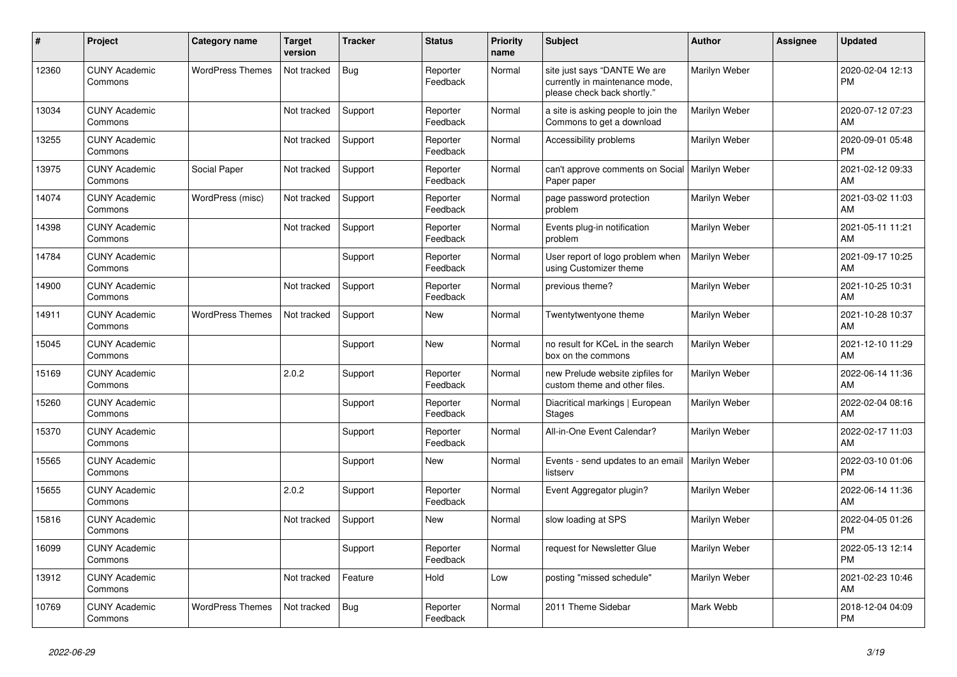| #     | <b>Project</b>                  | Category name           | <b>Target</b><br>version | <b>Tracker</b> | <b>Status</b>        | <b>Priority</b><br>name | <b>Subject</b>                                                                                | <b>Author</b> | Assignee | <b>Updated</b>                |
|-------|---------------------------------|-------------------------|--------------------------|----------------|----------------------|-------------------------|-----------------------------------------------------------------------------------------------|---------------|----------|-------------------------------|
| 12360 | <b>CUNY Academic</b><br>Commons | <b>WordPress Themes</b> | Not tracked              | <b>Bug</b>     | Reporter<br>Feedback | Normal                  | site just says "DANTE We are<br>currently in maintenance mode,<br>please check back shortly." | Marilyn Weber |          | 2020-02-04 12:13<br><b>PM</b> |
| 13034 | <b>CUNY Academic</b><br>Commons |                         | Not tracked              | Support        | Reporter<br>Feedback | Normal                  | a site is asking people to join the<br>Commons to get a download                              | Marilyn Weber |          | 2020-07-12 07:23<br>AM        |
| 13255 | <b>CUNY Academic</b><br>Commons |                         | Not tracked              | Support        | Reporter<br>Feedback | Normal                  | Accessibility problems                                                                        | Marilyn Weber |          | 2020-09-01 05:48<br><b>PM</b> |
| 13975 | <b>CUNY Academic</b><br>Commons | Social Paper            | Not tracked              | Support        | Reporter<br>Feedback | Normal                  | can't approve comments on Social<br>Paper paper                                               | Marilyn Weber |          | 2021-02-12 09:33<br>AM        |
| 14074 | <b>CUNY Academic</b><br>Commons | WordPress (misc)        | Not tracked              | Support        | Reporter<br>Feedback | Normal                  | page password protection<br>problem                                                           | Marilyn Weber |          | 2021-03-02 11:03<br>AM        |
| 14398 | <b>CUNY Academic</b><br>Commons |                         | Not tracked              | Support        | Reporter<br>Feedback | Normal                  | Events plug-in notification<br>problem                                                        | Marilyn Weber |          | 2021-05-11 11:21<br>AM        |
| 14784 | <b>CUNY Academic</b><br>Commons |                         |                          | Support        | Reporter<br>Feedback | Normal                  | User report of logo problem when<br>using Customizer theme                                    | Marilyn Weber |          | 2021-09-17 10:25<br>AM        |
| 14900 | <b>CUNY Academic</b><br>Commons |                         | Not tracked              | Support        | Reporter<br>Feedback | Normal                  | previous theme?                                                                               | Marilyn Weber |          | 2021-10-25 10:31<br>AM        |
| 14911 | <b>CUNY Academic</b><br>Commons | <b>WordPress Themes</b> | Not tracked              | Support        | <b>New</b>           | Normal                  | Twentytwentyone theme                                                                         | Marilyn Weber |          | 2021-10-28 10:37<br>AM        |
| 15045 | <b>CUNY Academic</b><br>Commons |                         |                          | Support        | <b>New</b>           | Normal                  | no result for KCeL in the search<br>box on the commons                                        | Marilyn Weber |          | 2021-12-10 11:29<br>AM        |
| 15169 | <b>CUNY Academic</b><br>Commons |                         | 2.0.2                    | Support        | Reporter<br>Feedback | Normal                  | new Prelude website zipfiles for<br>custom theme and other files.                             | Marilyn Weber |          | 2022-06-14 11:36<br>AM        |
| 15260 | <b>CUNY Academic</b><br>Commons |                         |                          | Support        | Reporter<br>Feedback | Normal                  | Diacritical markings   European<br><b>Stages</b>                                              | Marilyn Weber |          | 2022-02-04 08:16<br>AM        |
| 15370 | <b>CUNY Academic</b><br>Commons |                         |                          | Support        | Reporter<br>Feedback | Normal                  | All-in-One Event Calendar?                                                                    | Marilyn Weber |          | 2022-02-17 11:03<br>AM        |
| 15565 | <b>CUNY Academic</b><br>Commons |                         |                          | Support        | New                  | Normal                  | Events - send updates to an email<br>listserv                                                 | Marilyn Weber |          | 2022-03-10 01:06<br><b>PM</b> |
| 15655 | <b>CUNY Academic</b><br>Commons |                         | 2.0.2                    | Support        | Reporter<br>Feedback | Normal                  | Event Aggregator plugin?                                                                      | Marilyn Weber |          | 2022-06-14 11:36<br>AM        |
| 15816 | <b>CUNY Academic</b><br>Commons |                         | Not tracked              | Support        | <b>New</b>           | Normal                  | slow loading at SPS                                                                           | Marilyn Weber |          | 2022-04-05 01:26<br><b>PM</b> |
| 16099 | <b>CUNY Academic</b><br>Commons |                         |                          | Support        | Reporter<br>Feedback | Normal                  | request for Newsletter Glue                                                                   | Marilyn Weber |          | 2022-05-13 12:14<br><b>PM</b> |
| 13912 | <b>CUNY Academic</b><br>Commons |                         | Not tracked              | Feature        | Hold                 | Low                     | posting "missed schedule"                                                                     | Marilyn Weber |          | 2021-02-23 10:46<br>AM        |
| 10769 | <b>CUNY Academic</b><br>Commons | <b>WordPress Themes</b> | Not tracked              | Bug            | Reporter<br>Feedback | Normal                  | 2011 Theme Sidebar                                                                            | Mark Webb     |          | 2018-12-04 04:09<br><b>PM</b> |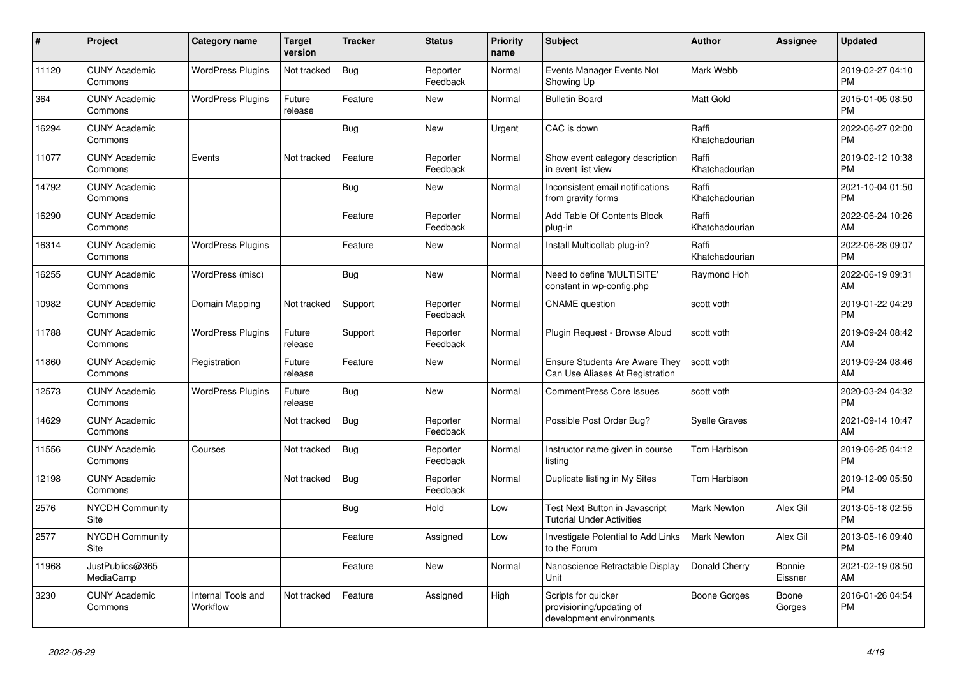| #     | Project                         | <b>Category name</b>           | <b>Target</b><br>version | <b>Tracker</b> | <b>Status</b>        | <b>Priority</b><br>name | <b>Subject</b>                                                              | <b>Author</b>           | Assignee          | <b>Updated</b>                |
|-------|---------------------------------|--------------------------------|--------------------------|----------------|----------------------|-------------------------|-----------------------------------------------------------------------------|-------------------------|-------------------|-------------------------------|
| 11120 | <b>CUNY Academic</b><br>Commons | <b>WordPress Plugins</b>       | Not tracked              | <b>Bug</b>     | Reporter<br>Feedback | Normal                  | Events Manager Events Not<br>Showing Up                                     | Mark Webb               |                   | 2019-02-27 04:10<br><b>PM</b> |
| 364   | <b>CUNY Academic</b><br>Commons | <b>WordPress Plugins</b>       | Future<br>release        | Feature        | New                  | Normal                  | <b>Bulletin Board</b>                                                       | Matt Gold               |                   | 2015-01-05 08:50<br><b>PM</b> |
| 16294 | <b>CUNY Academic</b><br>Commons |                                |                          | <b>Bug</b>     | <b>New</b>           | Urgent                  | CAC is down                                                                 | Raffi<br>Khatchadourian |                   | 2022-06-27 02:00<br><b>PM</b> |
| 11077 | <b>CUNY Academic</b><br>Commons | Events                         | Not tracked              | Feature        | Reporter<br>Feedback | Normal                  | Show event category description<br>in event list view                       | Raffi<br>Khatchadourian |                   | 2019-02-12 10:38<br><b>PM</b> |
| 14792 | <b>CUNY Academic</b><br>Commons |                                |                          | Bug            | <b>New</b>           | Normal                  | Inconsistent email notifications<br>from gravity forms                      | Raffi<br>Khatchadourian |                   | 2021-10-04 01:50<br><b>PM</b> |
| 16290 | <b>CUNY Academic</b><br>Commons |                                |                          | Feature        | Reporter<br>Feedback | Normal                  | Add Table Of Contents Block<br>plug-in                                      | Raffi<br>Khatchadourian |                   | 2022-06-24 10:26<br>AM        |
| 16314 | <b>CUNY Academic</b><br>Commons | <b>WordPress Plugins</b>       |                          | Feature        | <b>New</b>           | Normal                  | Install Multicollab plug-in?                                                | Raffi<br>Khatchadourian |                   | 2022-06-28 09:07<br><b>PM</b> |
| 16255 | <b>CUNY Academic</b><br>Commons | WordPress (misc)               |                          | Bug            | <b>New</b>           | Normal                  | Need to define 'MULTISITE'<br>constant in wp-config.php                     | Raymond Hoh             |                   | 2022-06-19 09:31<br>AM        |
| 10982 | <b>CUNY Academic</b><br>Commons | Domain Mapping                 | Not tracked              | Support        | Reporter<br>Feedback | Normal                  | <b>CNAME</b> question                                                       | scott voth              |                   | 2019-01-22 04:29<br><b>PM</b> |
| 11788 | <b>CUNY Academic</b><br>Commons | <b>WordPress Plugins</b>       | Future<br>release        | Support        | Reporter<br>Feedback | Normal                  | Plugin Request - Browse Aloud                                               | scott voth              |                   | 2019-09-24 08:42<br>AM        |
| 11860 | <b>CUNY Academic</b><br>Commons | Registration                   | Future<br>release        | Feature        | <b>New</b>           | Normal                  | <b>Ensure Students Are Aware They</b><br>Can Use Aliases At Registration    | scott voth              |                   | 2019-09-24 08:46<br>AM        |
| 12573 | <b>CUNY Academic</b><br>Commons | <b>WordPress Plugins</b>       | Future<br>release        | <b>Bug</b>     | New                  | Normal                  | <b>CommentPress Core Issues</b>                                             | scott voth              |                   | 2020-03-24 04:32<br><b>PM</b> |
| 14629 | <b>CUNY Academic</b><br>Commons |                                | Not tracked              | <b>Bug</b>     | Reporter<br>Feedback | Normal                  | Possible Post Order Bug?                                                    | <b>Syelle Graves</b>    |                   | 2021-09-14 10:47<br>AM        |
| 11556 | <b>CUNY Academic</b><br>Commons | Courses                        | Not tracked              | Bug            | Reporter<br>Feedback | Normal                  | Instructor name given in course<br>listing                                  | Tom Harbison            |                   | 2019-06-25 04:12<br><b>PM</b> |
| 12198 | <b>CUNY Academic</b><br>Commons |                                | Not tracked              | <b>Bug</b>     | Reporter<br>Feedback | Normal                  | Duplicate listing in My Sites                                               | Tom Harbison            |                   | 2019-12-09 05:50<br><b>PM</b> |
| 2576  | <b>NYCDH Community</b><br>Site  |                                |                          | <b>Bug</b>     | Hold                 | Low                     | Test Next Button in Javascript<br><b>Tutorial Under Activities</b>          | <b>Mark Newton</b>      | Alex Gil          | 2013-05-18 02:55<br><b>PM</b> |
| 2577  | <b>NYCDH Community</b><br>Site  |                                |                          | Feature        | Assigned             | Low                     | Investigate Potential to Add Links<br>to the Forum                          | <b>Mark Newton</b>      | Alex Gil          | 2013-05-16 09:40<br><b>PM</b> |
| 11968 | JustPublics@365<br>MediaCamp    |                                |                          | Feature        | <b>New</b>           | Normal                  | Nanoscience Retractable Display<br>Unit                                     | Donald Cherry           | Bonnie<br>Eissner | 2021-02-19 08:50<br>AM        |
| 3230  | <b>CUNY Academic</b><br>Commons | Internal Tools and<br>Workflow | Not tracked              | Feature        | Assigned             | High                    | Scripts for quicker<br>provisioning/updating of<br>development environments | Boone Gorges            | Boone<br>Gorges   | 2016-01-26 04:54<br><b>PM</b> |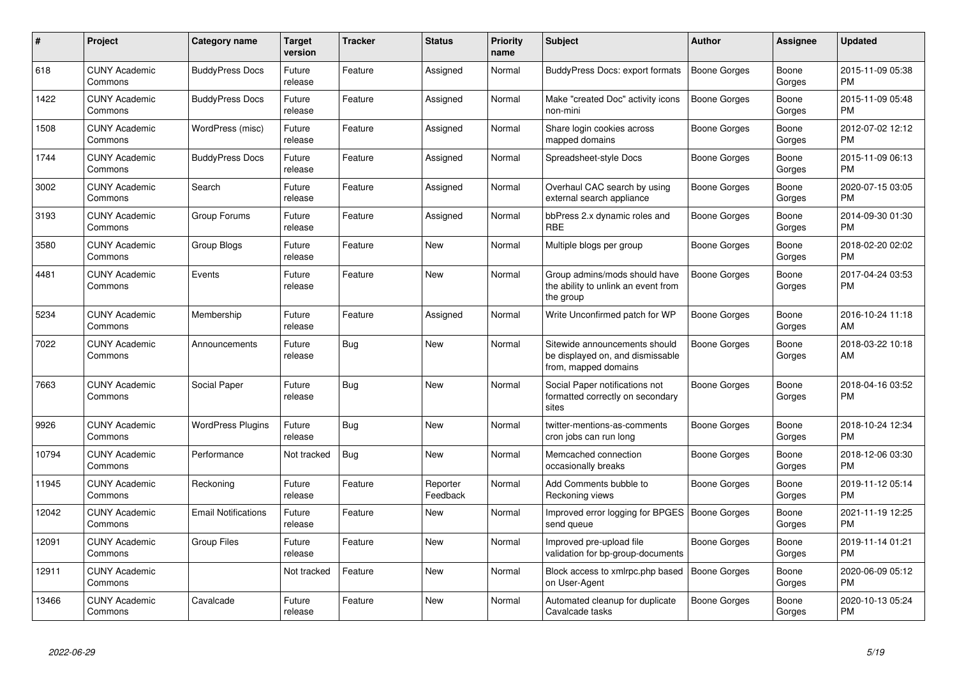| $\#$  | Project                         | <b>Category name</b>       | <b>Target</b><br>version | <b>Tracker</b> | <b>Status</b>        | <b>Priority</b><br>name | <b>Subject</b>                                                                            | Author              | <b>Assignee</b> | <b>Updated</b>                |
|-------|---------------------------------|----------------------------|--------------------------|----------------|----------------------|-------------------------|-------------------------------------------------------------------------------------------|---------------------|-----------------|-------------------------------|
| 618   | <b>CUNY Academic</b><br>Commons | <b>BuddyPress Docs</b>     | Future<br>release        | Feature        | Assigned             | Normal                  | BuddyPress Docs: export formats                                                           | <b>Boone Gorges</b> | Boone<br>Gorges | 2015-11-09 05:38<br><b>PM</b> |
| 1422  | <b>CUNY Academic</b><br>Commons | <b>BuddyPress Docs</b>     | Future<br>release        | Feature        | Assigned             | Normal                  | Make "created Doc" activity icons<br>non-mini                                             | <b>Boone Gorges</b> | Boone<br>Gorges | 2015-11-09 05:48<br><b>PM</b> |
| 1508  | <b>CUNY Academic</b><br>Commons | WordPress (misc)           | Future<br>release        | Feature        | Assigned             | Normal                  | Share login cookies across<br>mapped domains                                              | Boone Gorges        | Boone<br>Gorges | 2012-07-02 12:12<br><b>PM</b> |
| 1744  | <b>CUNY Academic</b><br>Commons | <b>BuddyPress Docs</b>     | Future<br>release        | Feature        | Assigned             | Normal                  | Spreadsheet-style Docs                                                                    | <b>Boone Gorges</b> | Boone<br>Gorges | 2015-11-09 06:13<br><b>PM</b> |
| 3002  | <b>CUNY Academic</b><br>Commons | Search                     | Future<br>release        | Feature        | Assigned             | Normal                  | Overhaul CAC search by using<br>external search appliance                                 | Boone Gorges        | Boone<br>Gorges | 2020-07-15 03:05<br><b>PM</b> |
| 3193  | <b>CUNY Academic</b><br>Commons | Group Forums               | Future<br>release        | Feature        | Assigned             | Normal                  | bbPress 2.x dynamic roles and<br><b>RBE</b>                                               | Boone Gorges        | Boone<br>Gorges | 2014-09-30 01:30<br><b>PM</b> |
| 3580  | <b>CUNY Academic</b><br>Commons | Group Blogs                | Future<br>release        | Feature        | <b>New</b>           | Normal                  | Multiple blogs per group                                                                  | Boone Gorges        | Boone<br>Gorges | 2018-02-20 02:02<br><b>PM</b> |
| 4481  | <b>CUNY Academic</b><br>Commons | Events                     | Future<br>release        | Feature        | <b>New</b>           | Normal                  | Group admins/mods should have<br>the ability to unlink an event from<br>the group         | <b>Boone Gorges</b> | Boone<br>Gorges | 2017-04-24 03:53<br><b>PM</b> |
| 5234  | <b>CUNY Academic</b><br>Commons | Membership                 | Future<br>release        | Feature        | Assigned             | Normal                  | Write Unconfirmed patch for WP                                                            | <b>Boone Gorges</b> | Boone<br>Gorges | 2016-10-24 11:18<br>AM        |
| 7022  | <b>CUNY Academic</b><br>Commons | Announcements              | Future<br>release        | Bug            | <b>New</b>           | Normal                  | Sitewide announcements should<br>be displayed on, and dismissable<br>from, mapped domains | Boone Gorges        | Boone<br>Gorges | 2018-03-22 10:18<br>AM        |
| 7663  | <b>CUNY Academic</b><br>Commons | Social Paper               | Future<br>release        | <b>Bug</b>     | <b>New</b>           | Normal                  | Social Paper notifications not<br>formatted correctly on secondary<br>sites               | Boone Gorges        | Boone<br>Gorges | 2018-04-16 03:52<br><b>PM</b> |
| 9926  | <b>CUNY Academic</b><br>Commons | <b>WordPress Plugins</b>   | Future<br>release        | Bug            | <b>New</b>           | Normal                  | twitter-mentions-as-comments<br>cron jobs can run long                                    | Boone Gorges        | Boone<br>Gorges | 2018-10-24 12:34<br><b>PM</b> |
| 10794 | <b>CUNY Academic</b><br>Commons | Performance                | Not tracked              | <b>Bug</b>     | <b>New</b>           | Normal                  | Memcached connection<br>occasionally breaks                                               | Boone Gorges        | Boone<br>Gorges | 2018-12-06 03:30<br><b>PM</b> |
| 11945 | <b>CUNY Academic</b><br>Commons | Reckoning                  | Future<br>release        | Feature        | Reporter<br>Feedback | Normal                  | Add Comments bubble to<br>Reckoning views                                                 | <b>Boone Gorges</b> | Boone<br>Gorges | 2019-11-12 05:14<br><b>PM</b> |
| 12042 | <b>CUNY Academic</b><br>Commons | <b>Email Notifications</b> | Future<br>release        | Feature        | <b>New</b>           | Normal                  | Improved error logging for BPGES   Boone Gorges<br>send queue                             |                     | Boone<br>Gorges | 2021-11-19 12:25<br><b>PM</b> |
| 12091 | <b>CUNY Academic</b><br>Commons | Group Files                | Future<br>release        | Feature        | <b>New</b>           | Normal                  | Improved pre-upload file<br>validation for bp-group-documents                             | <b>Boone Gorges</b> | Boone<br>Gorges | 2019-11-14 01:21<br><b>PM</b> |
| 12911 | <b>CUNY Academic</b><br>Commons |                            | Not tracked              | Feature        | <b>New</b>           | Normal                  | Block access to xmlrpc.php based<br>on User-Agent                                         | <b>Boone Gorges</b> | Boone<br>Gorges | 2020-06-09 05:12<br><b>PM</b> |
| 13466 | <b>CUNY Academic</b><br>Commons | Cavalcade                  | Future<br>release        | Feature        | <b>New</b>           | Normal                  | Automated cleanup for duplicate<br>Cavalcade tasks                                        | Boone Gorges        | Boone<br>Gorges | 2020-10-13 05:24<br><b>PM</b> |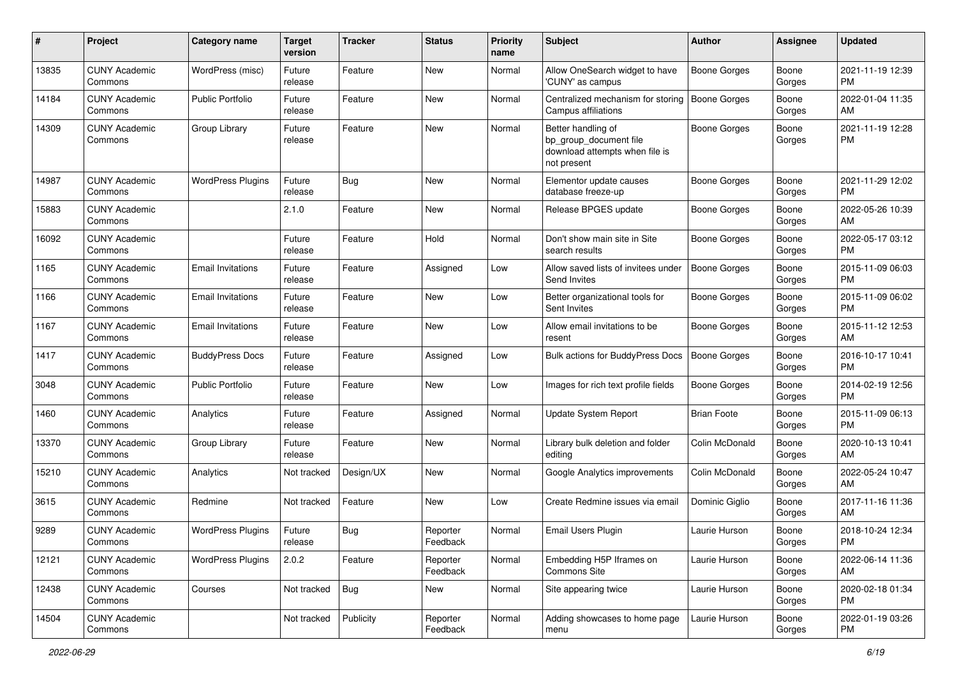| #     | Project                         | Category name            | <b>Target</b><br>version | <b>Tracker</b> | <b>Status</b>        | <b>Priority</b><br>name | Subject                                                                                       | <b>Author</b>       | <b>Assignee</b> | <b>Updated</b>                |
|-------|---------------------------------|--------------------------|--------------------------|----------------|----------------------|-------------------------|-----------------------------------------------------------------------------------------------|---------------------|-----------------|-------------------------------|
| 13835 | <b>CUNY Academic</b><br>Commons | WordPress (misc)         | Future<br>release        | Feature        | New                  | Normal                  | Allow OneSearch widget to have<br>'CUNY' as campus                                            | <b>Boone Gorges</b> | Boone<br>Gorges | 2021-11-19 12:39<br><b>PM</b> |
| 14184 | <b>CUNY Academic</b><br>Commons | <b>Public Portfolio</b>  | Future<br>release        | Feature        | New                  | Normal                  | Centralized mechanism for storing<br>Campus affiliations                                      | <b>Boone Gorges</b> | Boone<br>Gorges | 2022-01-04 11:35<br>AM        |
| 14309 | <b>CUNY Academic</b><br>Commons | Group Library            | Future<br>release        | Feature        | New                  | Normal                  | Better handling of<br>bp_group_document file<br>download attempts when file is<br>not present | Boone Gorges        | Boone<br>Gorges | 2021-11-19 12:28<br><b>PM</b> |
| 14987 | <b>CUNY Academic</b><br>Commons | <b>WordPress Plugins</b> | Future<br>release        | <b>Bug</b>     | New                  | Normal                  | Elementor update causes<br>database freeze-up                                                 | <b>Boone Gorges</b> | Boone<br>Gorges | 2021-11-29 12:02<br><b>PM</b> |
| 15883 | <b>CUNY Academic</b><br>Commons |                          | 2.1.0                    | Feature        | New                  | Normal                  | Release BPGES update                                                                          | Boone Gorges        | Boone<br>Gorges | 2022-05-26 10:39<br>AM        |
| 16092 | <b>CUNY Academic</b><br>Commons |                          | Future<br>release        | Feature        | Hold                 | Normal                  | Don't show main site in Site<br>search results                                                | Boone Gorges        | Boone<br>Gorges | 2022-05-17 03:12<br><b>PM</b> |
| 1165  | <b>CUNY Academic</b><br>Commons | <b>Email Invitations</b> | Future<br>release        | Feature        | Assigned             | Low                     | Allow saved lists of invitees under<br>Send Invites                                           | <b>Boone Gorges</b> | Boone<br>Gorges | 2015-11-09 06:03<br><b>PM</b> |
| 1166  | <b>CUNY Academic</b><br>Commons | <b>Email Invitations</b> | Future<br>release        | Feature        | <b>New</b>           | Low                     | Better organizational tools for<br>Sent Invites                                               | <b>Boone Gorges</b> | Boone<br>Gorges | 2015-11-09 06:02<br><b>PM</b> |
| 1167  | <b>CUNY Academic</b><br>Commons | <b>Email Invitations</b> | Future<br>release        | Feature        | New                  | Low                     | Allow email invitations to be<br>resent                                                       | <b>Boone Gorges</b> | Boone<br>Gorges | 2015-11-12 12:53<br>AM        |
| 1417  | <b>CUNY Academic</b><br>Commons | <b>BuddyPress Docs</b>   | Future<br>release        | Feature        | Assigned             | Low                     | <b>Bulk actions for BuddyPress Docs</b>                                                       | <b>Boone Gorges</b> | Boone<br>Gorges | 2016-10-17 10:41<br><b>PM</b> |
| 3048  | <b>CUNY Academic</b><br>Commons | Public Portfolio         | Future<br>release        | Feature        | New                  | Low                     | Images for rich text profile fields                                                           | <b>Boone Gorges</b> | Boone<br>Gorges | 2014-02-19 12:56<br><b>PM</b> |
| 1460  | <b>CUNY Academic</b><br>Commons | Analytics                | Future<br>release        | Feature        | Assigned             | Normal                  | <b>Update System Report</b>                                                                   | <b>Brian Foote</b>  | Boone<br>Gorges | 2015-11-09 06:13<br><b>PM</b> |
| 13370 | <b>CUNY Academic</b><br>Commons | Group Library            | Future<br>release        | Feature        | New                  | Normal                  | Library bulk deletion and folder<br>editing                                                   | Colin McDonald      | Boone<br>Gorges | 2020-10-13 10:41<br>AM        |
| 15210 | <b>CUNY Academic</b><br>Commons | Analytics                | Not tracked              | Design/UX      | New                  | Normal                  | Google Analytics improvements                                                                 | Colin McDonald      | Boone<br>Gorges | 2022-05-24 10:47<br>AM        |
| 3615  | <b>CUNY Academic</b><br>Commons | Redmine                  | Not tracked              | Feature        | New                  | Low                     | Create Redmine issues via email                                                               | Dominic Giglio      | Boone<br>Gorges | 2017-11-16 11:36<br>AM        |
| 9289  | <b>CUNY Academic</b><br>Commons | <b>WordPress Plugins</b> | Future<br>release        | <b>Bug</b>     | Reporter<br>Feedback | Normal                  | <b>Email Users Plugin</b>                                                                     | Laurie Hurson       | Boone<br>Gorges | 2018-10-24 12:34<br>PM        |
| 12121 | <b>CUNY Academic</b><br>Commons | <b>WordPress Plugins</b> | 2.0.2                    | Feature        | Reporter<br>Feedback | Normal                  | Embedding H5P Iframes on<br><b>Commons Site</b>                                               | Laurie Hurson       | Boone<br>Gorges | 2022-06-14 11:36<br>AM        |
| 12438 | <b>CUNY Academic</b><br>Commons | Courses                  | Not tracked              | Bug            | New                  | Normal                  | Site appearing twice                                                                          | Laurie Hurson       | Boone<br>Gorges | 2020-02-18 01:34<br><b>PM</b> |
| 14504 | <b>CUNY Academic</b><br>Commons |                          | Not tracked              | Publicity      | Reporter<br>Feedback | Normal                  | Adding showcases to home page<br>menu                                                         | Laurie Hurson       | Boone<br>Gorges | 2022-01-19 03:26<br><b>PM</b> |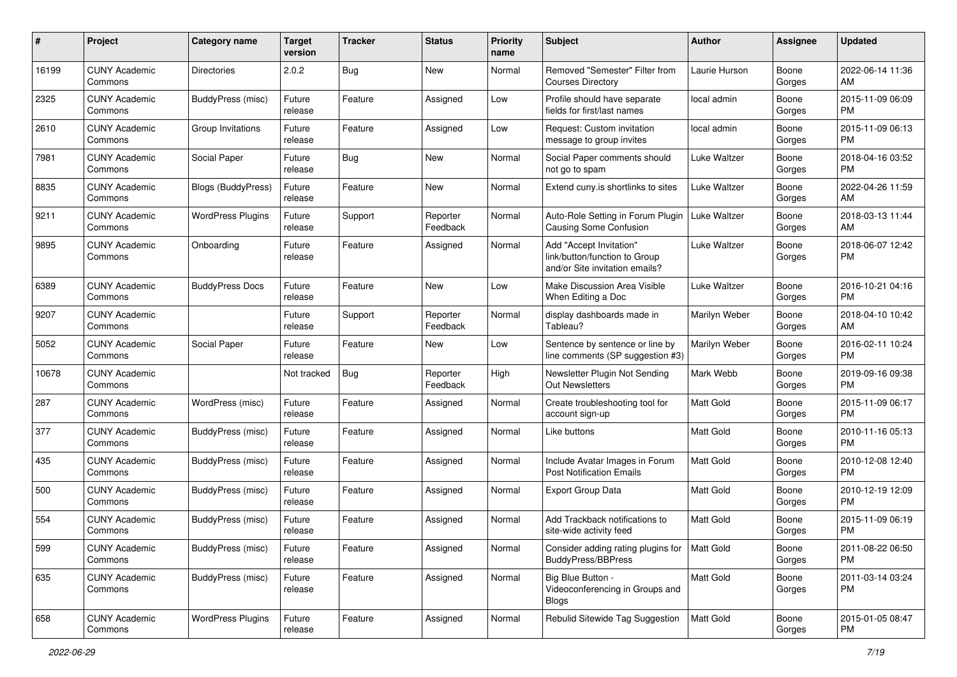| #     | Project                         | <b>Category name</b>      | <b>Target</b><br>version | <b>Tracker</b> | <b>Status</b>        | <b>Priority</b><br>name | Subject                                                                                    | Author           | <b>Assignee</b> | <b>Updated</b>                |
|-------|---------------------------------|---------------------------|--------------------------|----------------|----------------------|-------------------------|--------------------------------------------------------------------------------------------|------------------|-----------------|-------------------------------|
| 16199 | <b>CUNY Academic</b><br>Commons | <b>Directories</b>        | 2.0.2                    | <b>Bug</b>     | New                  | Normal                  | Removed "Semester" Filter from<br><b>Courses Directory</b>                                 | Laurie Hurson    | Boone<br>Gorges | 2022-06-14 11:36<br>AM        |
| 2325  | <b>CUNY Academic</b><br>Commons | <b>BuddyPress (misc)</b>  | Future<br>release        | Feature        | Assigned             | Low                     | Profile should have separate<br>fields for first/last names                                | local admin      | Boone<br>Gorges | 2015-11-09 06:09<br><b>PM</b> |
| 2610  | <b>CUNY Academic</b><br>Commons | Group Invitations         | Future<br>release        | Feature        | Assigned             | Low                     | Request: Custom invitation<br>message to group invites                                     | local admin      | Boone<br>Gorges | 2015-11-09 06:13<br><b>PM</b> |
| 7981  | <b>CUNY Academic</b><br>Commons | Social Paper              | Future<br>release        | <b>Bug</b>     | <b>New</b>           | Normal                  | Social Paper comments should<br>not go to spam                                             | Luke Waltzer     | Boone<br>Gorges | 2018-04-16 03:52<br><b>PM</b> |
| 8835  | <b>CUNY Academic</b><br>Commons | <b>Blogs (BuddyPress)</b> | Future<br>release        | Feature        | <b>New</b>           | Normal                  | Extend cuny.is shortlinks to sites                                                         | Luke Waltzer     | Boone<br>Gorges | 2022-04-26 11:59<br>AM        |
| 9211  | <b>CUNY Academic</b><br>Commons | <b>WordPress Plugins</b>  | Future<br>release        | Support        | Reporter<br>Feedback | Normal                  | Auto-Role Setting in Forum Plugin<br><b>Causing Some Confusion</b>                         | Luke Waltzer     | Boone<br>Gorges | 2018-03-13 11:44<br>AM        |
| 9895  | <b>CUNY Academic</b><br>Commons | Onboarding                | Future<br>release        | Feature        | Assigned             | Normal                  | Add "Accept Invitation"<br>link/button/function to Group<br>and/or Site invitation emails? | Luke Waltzer     | Boone<br>Gorges | 2018-06-07 12:42<br>PM        |
| 6389  | <b>CUNY Academic</b><br>Commons | <b>BuddyPress Docs</b>    | Future<br>release        | Feature        | <b>New</b>           | Low                     | Make Discussion Area Visible<br>When Editing a Doc                                         | Luke Waltzer     | Boone<br>Gorges | 2016-10-21 04:16<br><b>PM</b> |
| 9207  | <b>CUNY Academic</b><br>Commons |                           | Future<br>release        | Support        | Reporter<br>Feedback | Normal                  | display dashboards made in<br>Tableau?                                                     | Marilyn Weber    | Boone<br>Gorges | 2018-04-10 10:42<br>AM        |
| 5052  | <b>CUNY Academic</b><br>Commons | Social Paper              | Future<br>release        | Feature        | <b>New</b>           | Low                     | Sentence by sentence or line by<br>line comments (SP suggestion #3)                        | Marilyn Weber    | Boone<br>Gorges | 2016-02-11 10:24<br><b>PM</b> |
| 10678 | <b>CUNY Academic</b><br>Commons |                           | Not tracked              | <b>Bug</b>     | Reporter<br>Feedback | High                    | Newsletter Plugin Not Sending<br>Out Newsletters                                           | Mark Webb        | Boone<br>Gorges | 2019-09-16 09:38<br><b>PM</b> |
| 287   | <b>CUNY Academic</b><br>Commons | WordPress (misc)          | Future<br>release        | Feature        | Assigned             | Normal                  | Create troubleshooting tool for<br>account sign-up                                         | <b>Matt Gold</b> | Boone<br>Gorges | 2015-11-09 06:17<br><b>PM</b> |
| 377   | <b>CUNY Academic</b><br>Commons | BuddyPress (misc)         | Future<br>release        | Feature        | Assigned             | Normal                  | Like buttons                                                                               | <b>Matt Gold</b> | Boone<br>Gorges | 2010-11-16 05:13<br><b>PM</b> |
| 435   | <b>CUNY Academic</b><br>Commons | BuddyPress (misc)         | Future<br>release        | Feature        | Assigned             | Normal                  | Include Avatar Images in Forum<br><b>Post Notification Emails</b>                          | <b>Matt Gold</b> | Boone<br>Gorges | 2010-12-08 12:40<br><b>PM</b> |
| 500   | <b>CUNY Academic</b><br>Commons | BuddyPress (misc)         | Future<br>release        | Feature        | Assigned             | Normal                  | Export Group Data                                                                          | Matt Gold        | Boone<br>Gorges | 2010-12-19 12:09<br><b>PM</b> |
| 554   | <b>CUNY Academic</b><br>Commons | BuddyPress (misc)         | Future<br>release        | Feature        | Assigned             | Normal                  | Add Trackback notifications to<br>site-wide activity feed                                  | <b>Matt Gold</b> | Boone<br>Gorges | 2015-11-09 06:19<br><b>PM</b> |
| 599   | <b>CUNY Academic</b><br>Commons | BuddyPress (misc)         | Future<br>release        | Feature        | Assigned             | Normal                  | Consider adding rating plugins for   Matt Gold<br>BuddyPress/BBPress                       |                  | Boone<br>Gorges | 2011-08-22 06:50<br><b>PM</b> |
| 635   | <b>CUNY Academic</b><br>Commons | BuddyPress (misc)         | Future<br>release        | Feature        | Assigned             | Normal                  | Big Blue Button -<br>Videoconferencing in Groups and<br><b>Blogs</b>                       | Matt Gold        | Boone<br>Gorges | 2011-03-14 03:24<br><b>PM</b> |
| 658   | <b>CUNY Academic</b><br>Commons | <b>WordPress Plugins</b>  | Future<br>release        | Feature        | Assigned             | Normal                  | Rebulid Sitewide Tag Suggestion                                                            | Matt Gold        | Boone<br>Gorges | 2015-01-05 08:47<br><b>PM</b> |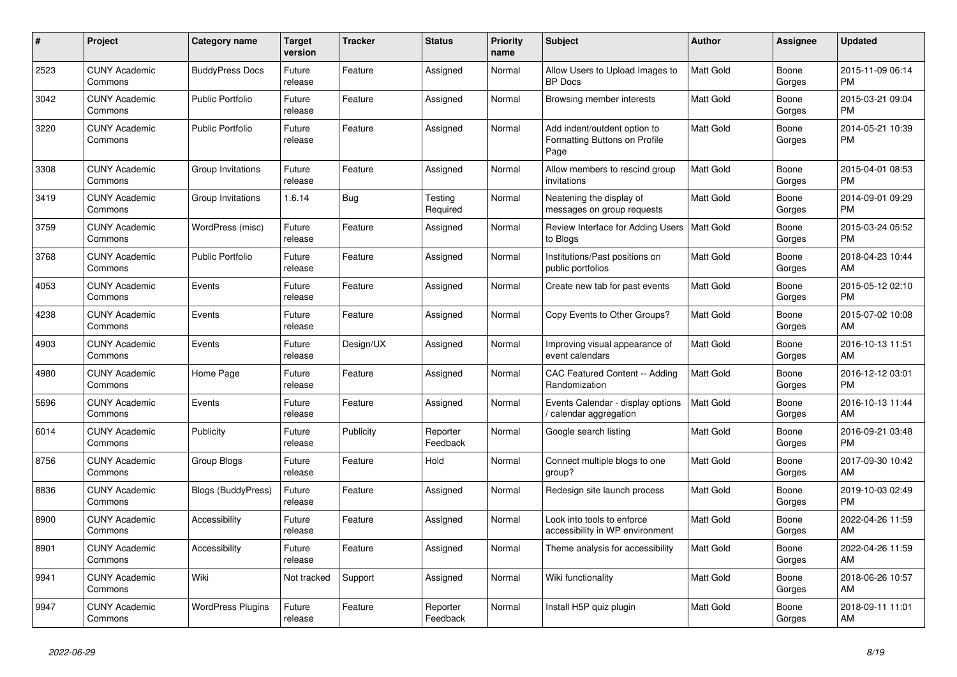| #    | <b>Project</b>                  | Category name             | Target<br>version | Tracker   | <b>Status</b>        | <b>Priority</b><br>name | <b>Subject</b>                                                        | <b>Author</b>    | <b>Assignee</b> | <b>Updated</b>                |
|------|---------------------------------|---------------------------|-------------------|-----------|----------------------|-------------------------|-----------------------------------------------------------------------|------------------|-----------------|-------------------------------|
| 2523 | <b>CUNY Academic</b><br>Commons | <b>BuddyPress Docs</b>    | Future<br>release | Feature   | Assigned             | Normal                  | Allow Users to Upload Images to<br><b>BP</b> Docs                     | <b>Matt Gold</b> | Boone<br>Gorges | 2015-11-09 06:14<br><b>PM</b> |
| 3042 | <b>CUNY Academic</b><br>Commons | <b>Public Portfolio</b>   | Future<br>release | Feature   | Assigned             | Normal                  | Browsing member interests                                             | <b>Matt Gold</b> | Boone<br>Gorges | 2015-03-21 09:04<br><b>PM</b> |
| 3220 | <b>CUNY Academic</b><br>Commons | <b>Public Portfolio</b>   | Future<br>release | Feature   | Assigned             | Normal                  | Add indent/outdent option to<br>Formatting Buttons on Profile<br>Page | <b>Matt Gold</b> | Boone<br>Gorges | 2014-05-21 10:39<br><b>PM</b> |
| 3308 | <b>CUNY Academic</b><br>Commons | Group Invitations         | Future<br>release | Feature   | Assigned             | Normal                  | Allow members to rescind group<br>invitations                         | Matt Gold        | Boone<br>Gorges | 2015-04-01 08:53<br><b>PM</b> |
| 3419 | <b>CUNY Academic</b><br>Commons | Group Invitations         | 1.6.14            | Bug       | Testing<br>Required  | Normal                  | Neatening the display of<br>messages on group requests                | <b>Matt Gold</b> | Boone<br>Gorges | 2014-09-01 09:29<br><b>PM</b> |
| 3759 | <b>CUNY Academic</b><br>Commons | WordPress (misc)          | Future<br>release | Feature   | Assigned             | Normal                  | Review Interface for Adding Users<br>to Blogs                         | Matt Gold        | Boone<br>Gorges | 2015-03-24 05:52<br><b>PM</b> |
| 3768 | <b>CUNY Academic</b><br>Commons | <b>Public Portfolio</b>   | Future<br>release | Feature   | Assigned             | Normal                  | Institutions/Past positions on<br>public portfolios                   | Matt Gold        | Boone<br>Gorges | 2018-04-23 10:44<br>AM        |
| 4053 | <b>CUNY Academic</b><br>Commons | Events                    | Future<br>release | Feature   | Assigned             | Normal                  | Create new tab for past events                                        | Matt Gold        | Boone<br>Gorges | 2015-05-12 02:10<br><b>PM</b> |
| 4238 | <b>CUNY Academic</b><br>Commons | Events                    | Future<br>release | Feature   | Assigned             | Normal                  | Copy Events to Other Groups?                                          | <b>Matt Gold</b> | Boone<br>Gorges | 2015-07-02 10:08<br>AM        |
| 4903 | <b>CUNY Academic</b><br>Commons | Events                    | Future<br>release | Design/UX | Assigned             | Normal                  | Improving visual appearance of<br>event calendars                     | Matt Gold        | Boone<br>Gorges | 2016-10-13 11:51<br>AM        |
| 4980 | <b>CUNY Academic</b><br>Commons | Home Page                 | Future<br>release | Feature   | Assigned             | Normal                  | CAC Featured Content -- Adding<br>Randomization                       | <b>Matt Gold</b> | Boone<br>Gorges | 2016-12-12 03:01<br><b>PM</b> |
| 5696 | <b>CUNY Academic</b><br>Commons | Events                    | Future<br>release | Feature   | Assigned             | Normal                  | Events Calendar - display options<br>calendar aggregation             | <b>Matt Gold</b> | Boone<br>Gorges | 2016-10-13 11:44<br>AM        |
| 6014 | <b>CUNY Academic</b><br>Commons | Publicity                 | Future<br>release | Publicity | Reporter<br>Feedback | Normal                  | Google search listing                                                 | <b>Matt Gold</b> | Boone<br>Gorges | 2016-09-21 03:48<br><b>PM</b> |
| 8756 | <b>CUNY Academic</b><br>Commons | Group Blogs               | Future<br>release | Feature   | Hold                 | Normal                  | Connect multiple blogs to one<br>group?                               | Matt Gold        | Boone<br>Gorges | 2017-09-30 10:42<br>AM        |
| 8836 | <b>CUNY Academic</b><br>Commons | <b>Blogs (BuddyPress)</b> | Future<br>release | Feature   | Assigned             | Normal                  | Redesign site launch process                                          | Matt Gold        | Boone<br>Gorges | 2019-10-03 02:49<br><b>PM</b> |
| 8900 | <b>CUNY Academic</b><br>Commons | Accessibility             | Future<br>release | Feature   | Assigned             | Normal                  | Look into tools to enforce<br>accessibility in WP environment         | <b>Matt Gold</b> | Boone<br>Gorges | 2022-04-26 11:59<br>AM        |
| 8901 | <b>CUNY Academic</b><br>Commons | Accessibility             | Future<br>release | Feature   | Assigned             | Normal                  | Theme analysis for accessibility                                      | Matt Gold        | Boone<br>Gorges | 2022-04-26 11:59<br>AM        |
| 9941 | <b>CUNY Academic</b><br>Commons | Wiki                      | Not tracked       | Support   | Assigned             | Normal                  | Wiki functionality                                                    | Matt Gold        | Boone<br>Gorges | 2018-06-26 10:57<br>AM        |
| 9947 | <b>CUNY Academic</b><br>Commons | <b>WordPress Plugins</b>  | Future<br>release | Feature   | Reporter<br>Feedback | Normal                  | Install H5P quiz plugin                                               | <b>Matt Gold</b> | Boone<br>Gorges | 2018-09-11 11:01<br>AM        |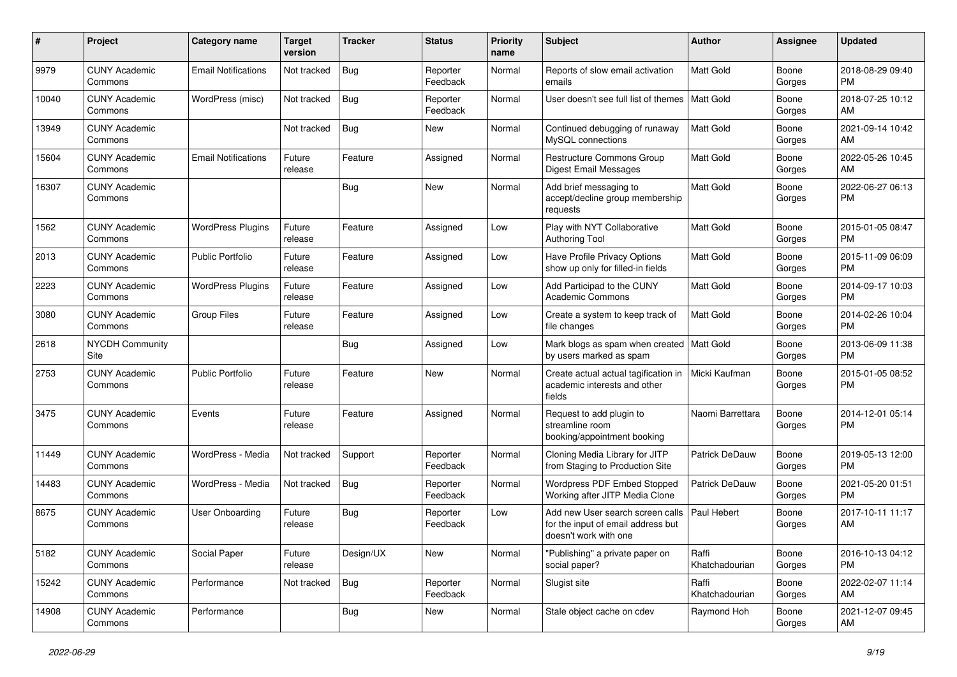| #     | Project                         | <b>Category name</b>       | <b>Target</b><br>version | <b>Tracker</b> | <b>Status</b>        | <b>Priority</b><br>name | Subject                                                                                         | <b>Author</b>           | Assignee        | <b>Updated</b>                |
|-------|---------------------------------|----------------------------|--------------------------|----------------|----------------------|-------------------------|-------------------------------------------------------------------------------------------------|-------------------------|-----------------|-------------------------------|
| 9979  | <b>CUNY Academic</b><br>Commons | <b>Email Notifications</b> | Not tracked              | Bug            | Reporter<br>Feedback | Normal                  | Reports of slow email activation<br>emails                                                      | Matt Gold               | Boone<br>Gorges | 2018-08-29 09:40<br><b>PM</b> |
| 10040 | <b>CUNY Academic</b><br>Commons | WordPress (misc)           | Not tracked              | <b>Bug</b>     | Reporter<br>Feedback | Normal                  | User doesn't see full list of themes   Matt Gold                                                |                         | Boone<br>Gorges | 2018-07-25 10:12<br>AM        |
| 13949 | <b>CUNY Academic</b><br>Commons |                            | Not tracked              | Bug            | New                  | Normal                  | Continued debugging of runaway<br>MySQL connections                                             | Matt Gold               | Boone<br>Gorges | 2021-09-14 10:42<br>AM        |
| 15604 | <b>CUNY Academic</b><br>Commons | <b>Email Notifications</b> | Future<br>release        | Feature        | Assigned             | Normal                  | <b>Restructure Commons Group</b><br><b>Digest Email Messages</b>                                | <b>Matt Gold</b>        | Boone<br>Gorges | 2022-05-26 10:45<br>AM        |
| 16307 | <b>CUNY Academic</b><br>Commons |                            |                          | Bug            | New                  | Normal                  | Add brief messaging to<br>accept/decline group membership<br>requests                           | Matt Gold               | Boone<br>Gorges | 2022-06-27 06:13<br><b>PM</b> |
| 1562  | <b>CUNY Academic</b><br>Commons | <b>WordPress Plugins</b>   | Future<br>release        | Feature        | Assigned             | Low                     | Play with NYT Collaborative<br><b>Authoring Tool</b>                                            | Matt Gold               | Boone<br>Gorges | 2015-01-05 08:47<br><b>PM</b> |
| 2013  | <b>CUNY Academic</b><br>Commons | <b>Public Portfolio</b>    | Future<br>release        | Feature        | Assigned             | Low                     | Have Profile Privacy Options<br>show up only for filled-in fields                               | <b>Matt Gold</b>        | Boone<br>Gorges | 2015-11-09 06:09<br><b>PM</b> |
| 2223  | <b>CUNY Academic</b><br>Commons | <b>WordPress Plugins</b>   | Future<br>release        | Feature        | Assigned             | Low                     | Add Participad to the CUNY<br>Academic Commons                                                  | <b>Matt Gold</b>        | Boone<br>Gorges | 2014-09-17 10:03<br><b>PM</b> |
| 3080  | <b>CUNY Academic</b><br>Commons | <b>Group Files</b>         | Future<br>release        | Feature        | Assigned             | Low                     | Create a system to keep track of<br>file changes                                                | Matt Gold               | Boone<br>Gorges | 2014-02-26 10:04<br><b>PM</b> |
| 2618  | <b>NYCDH Community</b><br>Site  |                            |                          | Bug            | Assigned             | Low                     | Mark blogs as spam when created   Matt Gold<br>by users marked as spam                          |                         | Boone<br>Gorges | 2013-06-09 11:38<br><b>PM</b> |
| 2753  | <b>CUNY Academic</b><br>Commons | <b>Public Portfolio</b>    | Future<br>release        | Feature        | <b>New</b>           | Normal                  | Create actual actual tagification in<br>academic interests and other<br>fields                  | Micki Kaufman           | Boone<br>Gorges | 2015-01-05 08:52<br><b>PM</b> |
| 3475  | <b>CUNY Academic</b><br>Commons | Events                     | Future<br>release        | Feature        | Assigned             | Normal                  | Request to add plugin to<br>streamline room<br>booking/appointment booking                      | Naomi Barrettara        | Boone<br>Gorges | 2014-12-01 05:14<br><b>PM</b> |
| 11449 | <b>CUNY Academic</b><br>Commons | WordPress - Media          | Not tracked              | Support        | Reporter<br>Feedback | Normal                  | Cloning Media Library for JITP<br>from Staging to Production Site                               | <b>Patrick DeDauw</b>   | Boone<br>Gorges | 2019-05-13 12:00<br><b>PM</b> |
| 14483 | <b>CUNY Academic</b><br>Commons | WordPress - Media          | Not tracked              | <b>Bug</b>     | Reporter<br>Feedback | Normal                  | Wordpress PDF Embed Stopped<br>Working after JITP Media Clone                                   | <b>Patrick DeDauw</b>   | Boone<br>Gorges | 2021-05-20 01:51<br><b>PM</b> |
| 8675  | <b>CUNY Academic</b><br>Commons | <b>User Onboarding</b>     | Future<br>release        | Bug            | Reporter<br>Feedback | Low                     | Add new User search screen calls<br>for the input of email address but<br>doesn't work with one | Paul Hebert             | Boone<br>Gorges | 2017-10-11 11:17<br>AM        |
| 5182  | <b>CUNY Academic</b><br>Commons | Social Paper               | Future<br>release        | Design/UX      | New                  | Normal                  | "Publishing" a private paper on<br>social paper?                                                | Raffi<br>Khatchadourian | Boone<br>Gorges | 2016-10-13 04:12<br><b>PM</b> |
| 15242 | <b>CUNY Academic</b><br>Commons | Performance                | Not tracked              | <b>Bug</b>     | Reporter<br>Feedback | Normal                  | Slugist site                                                                                    | Raffi<br>Khatchadourian | Boone<br>Gorges | 2022-02-07 11:14<br>AM        |
| 14908 | <b>CUNY Academic</b><br>Commons | Performance                |                          | <b>Bug</b>     | New                  | Normal                  | Stale object cache on cdev                                                                      | Raymond Hoh             | Boone<br>Gorges | 2021-12-07 09:45<br>AM        |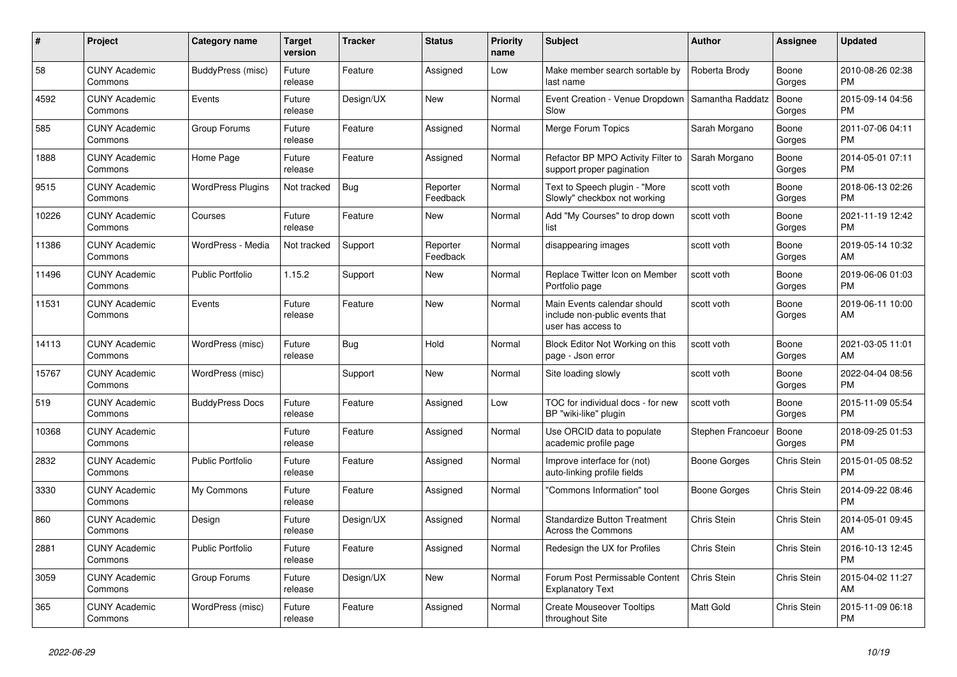| $\pmb{\#}$ | <b>Project</b>                  | Category name            | <b>Target</b><br>version | <b>Tracker</b> | <b>Status</b>        | <b>Priority</b><br>name | <b>Subject</b>                                                                      | <b>Author</b>     | <b>Assignee</b> | <b>Updated</b>                |
|------------|---------------------------------|--------------------------|--------------------------|----------------|----------------------|-------------------------|-------------------------------------------------------------------------------------|-------------------|-----------------|-------------------------------|
| 58         | <b>CUNY Academic</b><br>Commons | BuddyPress (misc)        | Future<br>release        | Feature        | Assigned             | Low                     | Make member search sortable by<br>last name                                         | Roberta Brody     | Boone<br>Gorges | 2010-08-26 02:38<br><b>PM</b> |
| 4592       | <b>CUNY Academic</b><br>Commons | Events                   | Future<br>release        | Design/UX      | <b>New</b>           | Normal                  | Event Creation - Venue Dropdown<br>Slow                                             | Samantha Raddatz  | Boone<br>Gorges | 2015-09-14 04:56<br><b>PM</b> |
| 585        | <b>CUNY Academic</b><br>Commons | Group Forums             | Future<br>release        | Feature        | Assigned             | Normal                  | Merge Forum Topics                                                                  | Sarah Morgano     | Boone<br>Gorges | 2011-07-06 04:11<br><b>PM</b> |
| 1888       | <b>CUNY Academic</b><br>Commons | Home Page                | Future<br>release        | Feature        | Assigned             | Normal                  | Refactor BP MPO Activity Filter to<br>support proper pagination                     | Sarah Morgano     | Boone<br>Gorges | 2014-05-01 07:11<br><b>PM</b> |
| 9515       | <b>CUNY Academic</b><br>Commons | <b>WordPress Plugins</b> | Not tracked              | Bug            | Reporter<br>Feedback | Normal                  | Text to Speech plugin - "More<br>Slowly" checkbox not working                       | scott voth        | Boone<br>Gorges | 2018-06-13 02:26<br><b>PM</b> |
| 10226      | <b>CUNY Academic</b><br>Commons | Courses                  | Future<br>release        | Feature        | <b>New</b>           | Normal                  | Add "My Courses" to drop down<br>list                                               | scott voth        | Boone<br>Gorges | 2021-11-19 12:42<br><b>PM</b> |
| 11386      | <b>CUNY Academic</b><br>Commons | WordPress - Media        | Not tracked              | Support        | Reporter<br>Feedback | Normal                  | disappearing images                                                                 | scott voth        | Boone<br>Gorges | 2019-05-14 10:32<br>AM        |
| 11496      | <b>CUNY Academic</b><br>Commons | Public Portfolio         | 1.15.2                   | Support        | New                  | Normal                  | Replace Twitter Icon on Member<br>Portfolio page                                    | scott voth        | Boone<br>Gorges | 2019-06-06 01:03<br><b>PM</b> |
| 11531      | <b>CUNY Academic</b><br>Commons | Events                   | Future<br>release        | Feature        | <b>New</b>           | Normal                  | Main Events calendar should<br>include non-public events that<br>user has access to | scott voth        | Boone<br>Gorges | 2019-06-11 10:00<br>AM        |
| 14113      | <b>CUNY Academic</b><br>Commons | WordPress (misc)         | Future<br>release        | <b>Bug</b>     | Hold                 | Normal                  | Block Editor Not Working on this<br>page - Json error                               | scott voth        | Boone<br>Gorges | 2021-03-05 11:01<br>AM        |
| 15767      | <b>CUNY Academic</b><br>Commons | WordPress (misc)         |                          | Support        | <b>New</b>           | Normal                  | Site loading slowly                                                                 | scott voth        | Boone<br>Gorges | 2022-04-04 08:56<br><b>PM</b> |
| 519        | <b>CUNY Academic</b><br>Commons | <b>BuddyPress Docs</b>   | Future<br>release        | Feature        | Assigned             | Low                     | TOC for individual docs - for new<br>BP "wiki-like" plugin                          | scott voth        | Boone<br>Gorges | 2015-11-09 05:54<br><b>PM</b> |
| 10368      | <b>CUNY Academic</b><br>Commons |                          | Future<br>release        | Feature        | Assigned             | Normal                  | Use ORCID data to populate<br>academic profile page                                 | Stephen Francoeur | Boone<br>Gorges | 2018-09-25 01:53<br><b>PM</b> |
| 2832       | <b>CUNY Academic</b><br>Commons | <b>Public Portfolio</b>  | Future<br>release        | Feature        | Assigned             | Normal                  | Improve interface for (not)<br>auto-linking profile fields                          | Boone Gorges      | Chris Stein     | 2015-01-05 08:52<br><b>PM</b> |
| 3330       | <b>CUNY Academic</b><br>Commons | My Commons               | Future<br>release        | Feature        | Assigned             | Normal                  | 'Commons Information" tool                                                          | Boone Gorges      | Chris Stein     | 2014-09-22 08:46<br><b>PM</b> |
| 860        | <b>CUNY Academic</b><br>Commons | Design                   | Future<br>release        | Design/UX      | Assigned             | Normal                  | <b>Standardize Button Treatment</b><br>Across the Commons                           | Chris Stein       | Chris Stein     | 2014-05-01 09:45<br>AM        |
| 2881       | <b>CUNY Academic</b><br>Commons | <b>Public Portfolio</b>  | Future<br>release        | Feature        | Assigned             | Normal                  | Redesign the UX for Profiles                                                        | Chris Stein       | Chris Stein     | 2016-10-13 12:45<br><b>PM</b> |
| 3059       | <b>CUNY Academic</b><br>Commons | Group Forums             | Future<br>release        | Design/UX      | <b>New</b>           | Normal                  | Forum Post Permissable Content<br><b>Explanatory Text</b>                           | Chris Stein       | Chris Stein     | 2015-04-02 11:27<br>AM        |
| 365        | <b>CUNY Academic</b><br>Commons | WordPress (misc)         | Future<br>release        | Feature        | Assigned             | Normal                  | <b>Create Mouseover Tooltips</b><br>throughout Site                                 | <b>Matt Gold</b>  | Chris Stein     | 2015-11-09 06:18<br><b>PM</b> |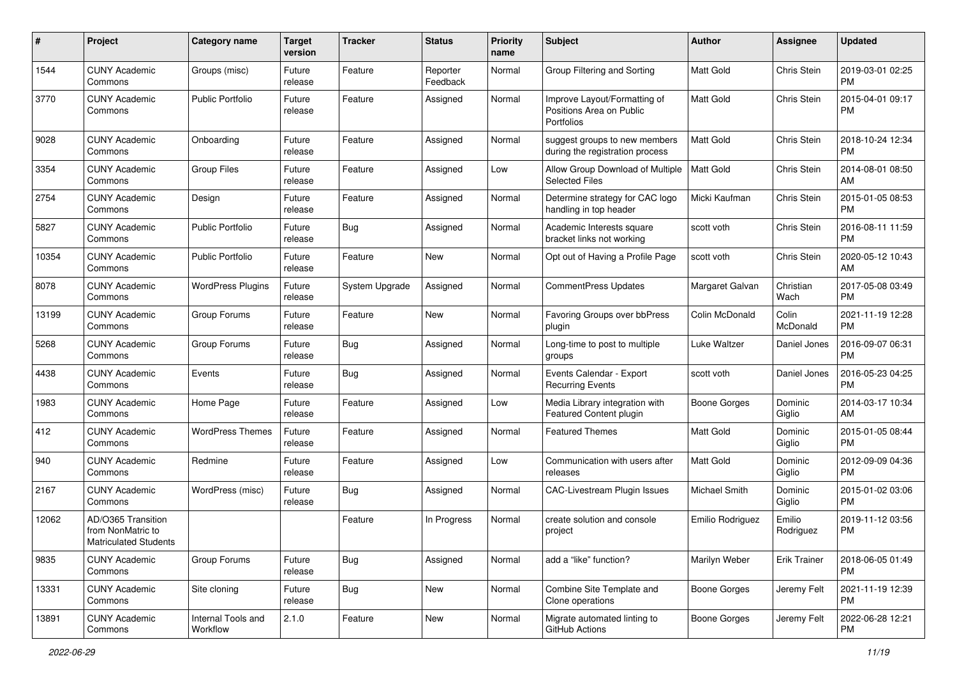| #     | Project                                                          | Category name                  | <b>Target</b><br>version | <b>Tracker</b> | <b>Status</b>        | <b>Priority</b><br>name | Subject                                                                       | Author                  | <b>Assignee</b>     | <b>Updated</b>                |
|-------|------------------------------------------------------------------|--------------------------------|--------------------------|----------------|----------------------|-------------------------|-------------------------------------------------------------------------------|-------------------------|---------------------|-------------------------------|
| 1544  | <b>CUNY Academic</b><br>Commons                                  | Groups (misc)                  | Future<br>release        | Feature        | Reporter<br>Feedback | Normal                  | Group Filtering and Sorting                                                   | <b>Matt Gold</b>        | Chris Stein         | 2019-03-01 02:25<br><b>PM</b> |
| 3770  | <b>CUNY Academic</b><br>Commons                                  | <b>Public Portfolio</b>        | Future<br>release        | Feature        | Assigned             | Normal                  | Improve Layout/Formatting of<br>Positions Area on Public<br><b>Portfolios</b> | Matt Gold               | Chris Stein         | 2015-04-01 09:17<br><b>PM</b> |
| 9028  | <b>CUNY Academic</b><br>Commons                                  | Onboarding                     | Future<br>release        | Feature        | Assigned             | Normal                  | suggest groups to new members<br>during the registration process              | Matt Gold               | Chris Stein         | 2018-10-24 12:34<br><b>PM</b> |
| 3354  | <b>CUNY Academic</b><br>Commons                                  | <b>Group Files</b>             | Future<br>release        | Feature        | Assigned             | Low                     | Allow Group Download of Multiple<br><b>Selected Files</b>                     | Matt Gold               | Chris Stein         | 2014-08-01 08:50<br>AM        |
| 2754  | <b>CUNY Academic</b><br>Commons                                  | Design                         | Future<br>release        | Feature        | Assigned             | Normal                  | Determine strategy for CAC logo<br>handling in top header                     | Micki Kaufman           | Chris Stein         | 2015-01-05 08:53<br><b>PM</b> |
| 5827  | <b>CUNY Academic</b><br>Commons                                  | <b>Public Portfolio</b>        | Future<br>release        | <b>Bug</b>     | Assigned             | Normal                  | Academic Interests square<br>bracket links not working                        | scott voth              | Chris Stein         | 2016-08-11 11:59<br><b>PM</b> |
| 10354 | <b>CUNY Academic</b><br>Commons                                  | <b>Public Portfolio</b>        | Future<br>release        | Feature        | New                  | Normal                  | Opt out of Having a Profile Page                                              | scott voth              | Chris Stein         | 2020-05-12 10:43<br>AM        |
| 8078  | <b>CUNY Academic</b><br>Commons                                  | <b>WordPress Plugins</b>       | Future<br>release        | System Upgrade | Assigned             | Normal                  | <b>CommentPress Updates</b>                                                   | Margaret Galvan         | Christian<br>Wach   | 2017-05-08 03:49<br><b>PM</b> |
| 13199 | <b>CUNY Academic</b><br>Commons                                  | Group Forums                   | Future<br>release        | Feature        | New                  | Normal                  | <b>Favoring Groups over bbPress</b><br>plugin                                 | Colin McDonald          | Colin<br>McDonald   | 2021-11-19 12:28<br>PM        |
| 5268  | <b>CUNY Academic</b><br>Commons                                  | Group Forums                   | Future<br>release        | <b>Bug</b>     | Assigned             | Normal                  | Long-time to post to multiple<br>groups                                       | Luke Waltzer            | Daniel Jones        | 2016-09-07 06:31<br><b>PM</b> |
| 4438  | <b>CUNY Academic</b><br>Commons                                  | Events                         | Future<br>release        | <b>Bug</b>     | Assigned             | Normal                  | Events Calendar - Export<br><b>Recurring Events</b>                           | scott voth              | Daniel Jones        | 2016-05-23 04:25<br><b>PM</b> |
| 1983  | <b>CUNY Academic</b><br>Commons                                  | Home Page                      | Future<br>release        | Feature        | Assigned             | Low                     | Media Library integration with<br>Featured Content plugin                     | Boone Gorges            | Dominic<br>Giglio   | 2014-03-17 10:34<br>AM        |
| 412   | <b>CUNY Academic</b><br>Commons                                  | <b>WordPress Themes</b>        | Future<br>release        | Feature        | Assigned             | Normal                  | <b>Featured Themes</b>                                                        | <b>Matt Gold</b>        | Dominic<br>Giglio   | 2015-01-05 08:44<br><b>PM</b> |
| 940   | <b>CUNY Academic</b><br>Commons                                  | Redmine                        | Future<br>release        | Feature        | Assigned             | Low                     | Communication with users after<br>releases                                    | <b>Matt Gold</b>        | Dominic<br>Giglio   | 2012-09-09 04:36<br><b>PM</b> |
| 2167  | <b>CUNY Academic</b><br>Commons                                  | WordPress (misc)               | Future<br>release        | <b>Bug</b>     | Assigned             | Normal                  | <b>CAC-Livestream Plugin Issues</b>                                           | <b>Michael Smith</b>    | Dominic<br>Giglio   | 2015-01-02 03:06<br><b>PM</b> |
| 12062 | AD/O365 Transition<br>from NonMatric to<br>Matriculated Students |                                |                          | Feature        | In Progress          | Normal                  | create solution and console<br>project                                        | <b>Emilio Rodriguez</b> | Emilio<br>Rodriguez | 2019-11-12 03:56<br><b>PM</b> |
| 9835  | <b>CUNY Academic</b><br>Commons                                  | Group Forums                   | Future<br>release        | <b>Bug</b>     | Assigned             | Normal                  | add a "like" function?                                                        | Marilyn Weber           | <b>Erik Trainer</b> | 2018-06-05 01:49<br><b>PM</b> |
| 13331 | <b>CUNY Academic</b><br>Commons                                  | Site cloning                   | Future<br>release        | <b>Bug</b>     | New                  | Normal                  | Combine Site Template and<br>Clone operations                                 | <b>Boone Gorges</b>     | Jeremy Felt         | 2021-11-19 12:39<br>PM        |
| 13891 | <b>CUNY Academic</b><br>Commons                                  | Internal Tools and<br>Workflow | 2.1.0                    | Feature        | New                  | Normal                  | Migrate automated linting to<br>GitHub Actions                                | <b>Boone Gorges</b>     | Jeremy Felt         | 2022-06-28 12:21<br>PM        |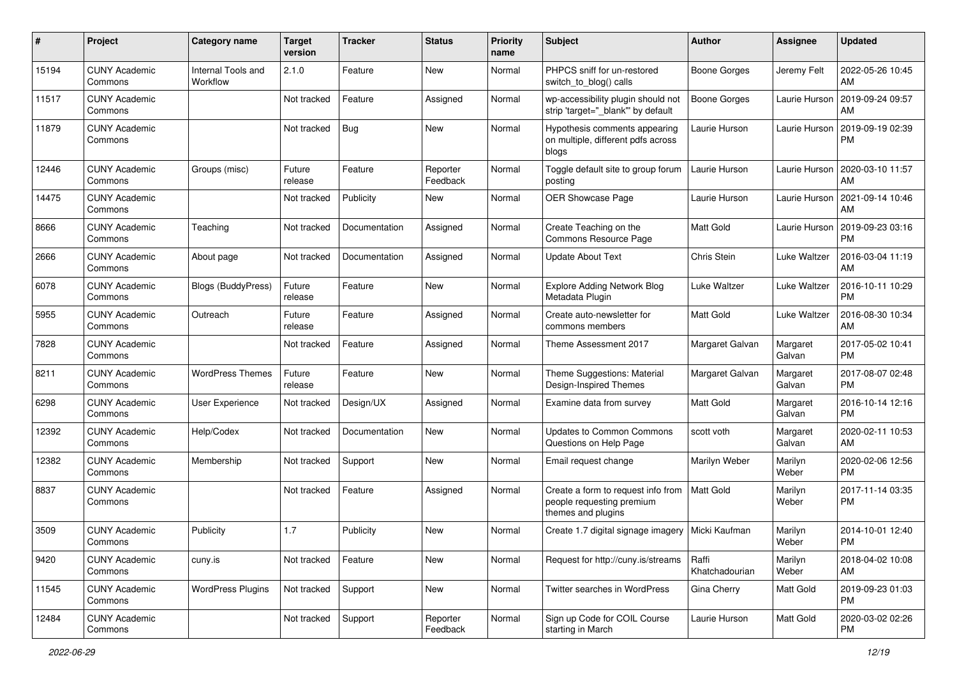| #     | Project                         | <b>Category name</b>           | <b>Target</b><br>version | <b>Tracker</b> | <b>Status</b>        | <b>Priority</b><br>name | Subject                                                                               | Author                  | <b>Assignee</b>    | <b>Updated</b>                |
|-------|---------------------------------|--------------------------------|--------------------------|----------------|----------------------|-------------------------|---------------------------------------------------------------------------------------|-------------------------|--------------------|-------------------------------|
| 15194 | <b>CUNY Academic</b><br>Commons | Internal Tools and<br>Workflow | 2.1.0                    | Feature        | New                  | Normal                  | PHPCS sniff for un-restored<br>switch to blog() calls                                 | <b>Boone Gorges</b>     | Jeremy Felt        | 2022-05-26 10:45<br>AM        |
| 11517 | <b>CUNY Academic</b><br>Commons |                                | Not tracked              | Feature        | Assigned             | Normal                  | wp-accessibility plugin should not<br>strip 'target="_blank" by default               | <b>Boone Gorges</b>     | Laurie Hurson      | 2019-09-24 09:57<br>AM        |
| 11879 | <b>CUNY Academic</b><br>Commons |                                | Not tracked              | <b>Bug</b>     | <b>New</b>           | Normal                  | Hypothesis comments appearing<br>on multiple, different pdfs across<br>blogs          | Laurie Hurson           | Laurie Hurson      | 2019-09-19 02:39<br><b>PM</b> |
| 12446 | <b>CUNY Academic</b><br>Commons | Groups (misc)                  | Future<br>release        | Feature        | Reporter<br>Feedback | Normal                  | Toggle default site to group forum<br>posting                                         | Laurie Hurson           | Laurie Hurson      | 2020-03-10 11:57<br>AM        |
| 14475 | <b>CUNY Academic</b><br>Commons |                                | Not tracked              | Publicity      | <b>New</b>           | Normal                  | OER Showcase Page                                                                     | Laurie Hurson           | Laurie Hurson      | 2021-09-14 10:46<br>AM        |
| 8666  | <b>CUNY Academic</b><br>Commons | Teaching                       | Not tracked              | Documentation  | Assigned             | Normal                  | Create Teaching on the<br>Commons Resource Page                                       | <b>Matt Gold</b>        | Laurie Hurson      | 2019-09-23 03:16<br><b>PM</b> |
| 2666  | <b>CUNY Academic</b><br>Commons | About page                     | Not tracked              | Documentation  | Assigned             | Normal                  | <b>Update About Text</b>                                                              | Chris Stein             | Luke Waltzer       | 2016-03-04 11:19<br>AM        |
| 6078  | <b>CUNY Academic</b><br>Commons | <b>Blogs (BuddyPress)</b>      | Future<br>release        | Feature        | <b>New</b>           | Normal                  | <b>Explore Adding Network Blog</b><br>Metadata Plugin                                 | Luke Waltzer            | Luke Waltzer       | 2016-10-11 10:29<br><b>PM</b> |
| 5955  | <b>CUNY Academic</b><br>Commons | Outreach                       | Future<br>release        | Feature        | Assigned             | Normal                  | Create auto-newsletter for<br>commons members                                         | <b>Matt Gold</b>        | Luke Waltzer       | 2016-08-30 10:34<br>AM        |
| 7828  | <b>CUNY Academic</b><br>Commons |                                | Not tracked              | Feature        | Assigned             | Normal                  | Theme Assessment 2017                                                                 | Margaret Galvan         | Margaret<br>Galvan | 2017-05-02 10:41<br><b>PM</b> |
| 8211  | <b>CUNY Academic</b><br>Commons | <b>WordPress Themes</b>        | Future<br>release        | Feature        | <b>New</b>           | Normal                  | Theme Suggestions: Material<br>Design-Inspired Themes                                 | Margaret Galvan         | Margaret<br>Galvan | 2017-08-07 02:48<br><b>PM</b> |
| 6298  | <b>CUNY Academic</b><br>Commons | User Experience                | Not tracked              | Design/UX      | Assigned             | Normal                  | Examine data from survey                                                              | <b>Matt Gold</b>        | Margaret<br>Galvan | 2016-10-14 12:16<br><b>PM</b> |
| 12392 | <b>CUNY Academic</b><br>Commons | Help/Codex                     | Not tracked              | Documentation  | <b>New</b>           | Normal                  | <b>Updates to Common Commons</b><br>Questions on Help Page                            | scott voth              | Margaret<br>Galvan | 2020-02-11 10:53<br>AM        |
| 12382 | <b>CUNY Academic</b><br>Commons | Membership                     | Not tracked              | Support        | <b>New</b>           | Normal                  | Email request change                                                                  | Marilyn Weber           | Marilyn<br>Weber   | 2020-02-06 12:56<br><b>PM</b> |
| 8837  | <b>CUNY Academic</b><br>Commons |                                | Not tracked              | Feature        | Assigned             | Normal                  | Create a form to request info from<br>people requesting premium<br>themes and plugins | Matt Gold               | Marilyn<br>Weber   | 2017-11-14 03:35<br><b>PM</b> |
| 3509  | <b>CUNY Academic</b><br>Commons | Publicity                      | 1.7                      | Publicity      | New                  | Normal                  | Create 1.7 digital signage imagery   Micki Kaufman                                    |                         | Marilyn<br>Weber   | 2014-10-01 12:40<br>PM        |
| 9420  | <b>CUNY Academic</b><br>Commons | cuny.is                        | Not tracked              | Feature        | New                  | Normal                  | Request for http://cuny.is/streams                                                    | Raffi<br>Khatchadourian | Marilyn<br>Weber   | 2018-04-02 10:08<br>AM        |
| 11545 | <b>CUNY Academic</b><br>Commons | <b>WordPress Plugins</b>       | Not tracked              | Support        | New                  | Normal                  | Twitter searches in WordPress                                                         | Gina Cherry             | Matt Gold          | 2019-09-23 01:03<br><b>PM</b> |
| 12484 | <b>CUNY Academic</b><br>Commons |                                | Not tracked              | Support        | Reporter<br>Feedback | Normal                  | Sign up Code for COIL Course<br>starting in March                                     | Laurie Hurson           | Matt Gold          | 2020-03-02 02:26<br>PM        |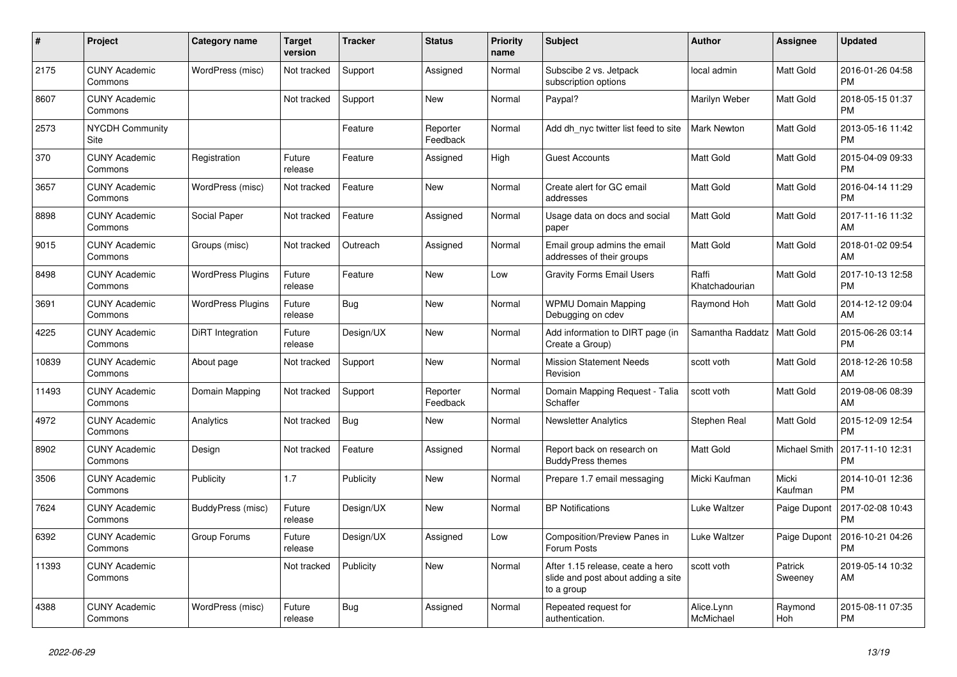| $\pmb{\#}$ | Project                         | Category name            | <b>Target</b><br>version | <b>Tracker</b> | <b>Status</b>        | <b>Priority</b><br>name | <b>Subject</b>                                                                       | <b>Author</b>           | <b>Assignee</b>    | <b>Updated</b>                |
|------------|---------------------------------|--------------------------|--------------------------|----------------|----------------------|-------------------------|--------------------------------------------------------------------------------------|-------------------------|--------------------|-------------------------------|
| 2175       | <b>CUNY Academic</b><br>Commons | WordPress (misc)         | Not tracked              | Support        | Assigned             | Normal                  | Subscibe 2 vs. Jetpack<br>subscription options                                       | local admin             | <b>Matt Gold</b>   | 2016-01-26 04:58<br><b>PM</b> |
| 8607       | <b>CUNY Academic</b><br>Commons |                          | Not tracked              | Support        | <b>New</b>           | Normal                  | Paypal?                                                                              | Marilyn Weber           | Matt Gold          | 2018-05-15 01:37<br><b>PM</b> |
| 2573       | <b>NYCDH Community</b><br>Site  |                          |                          | Feature        | Reporter<br>Feedback | Normal                  | Add dh nyc twitter list feed to site                                                 | <b>Mark Newton</b>      | Matt Gold          | 2013-05-16 11:42<br><b>PM</b> |
| 370        | <b>CUNY Academic</b><br>Commons | Registration             | Future<br>release        | Feature        | Assigned             | High                    | <b>Guest Accounts</b>                                                                | <b>Matt Gold</b>        | Matt Gold          | 2015-04-09 09:33<br><b>PM</b> |
| 3657       | <b>CUNY Academic</b><br>Commons | WordPress (misc)         | Not tracked              | Feature        | <b>New</b>           | Normal                  | Create alert for GC email<br>addresses                                               | <b>Matt Gold</b>        | Matt Gold          | 2016-04-14 11:29<br><b>PM</b> |
| 8898       | <b>CUNY Academic</b><br>Commons | Social Paper             | Not tracked              | Feature        | Assigned             | Normal                  | Usage data on docs and social<br>paper                                               | <b>Matt Gold</b>        | Matt Gold          | 2017-11-16 11:32<br>AM        |
| 9015       | <b>CUNY Academic</b><br>Commons | Groups (misc)            | Not tracked              | Outreach       | Assigned             | Normal                  | Email group admins the email<br>addresses of their groups                            | <b>Matt Gold</b>        | <b>Matt Gold</b>   | 2018-01-02 09:54<br>AM        |
| 8498       | <b>CUNY Academic</b><br>Commons | <b>WordPress Plugins</b> | Future<br>release        | Feature        | <b>New</b>           | Low                     | <b>Gravity Forms Email Users</b>                                                     | Raffi<br>Khatchadourian | <b>Matt Gold</b>   | 2017-10-13 12:58<br><b>PM</b> |
| 3691       | <b>CUNY Academic</b><br>Commons | WordPress Plugins        | Future<br>release        | <b>Bug</b>     | <b>New</b>           | Normal                  | <b>WPMU Domain Mapping</b><br>Debugging on cdev                                      | Raymond Hoh             | Matt Gold          | 2014-12-12 09:04<br>AM        |
| 4225       | <b>CUNY Academic</b><br>Commons | DiRT Integration         | Future<br>release        | Design/UX      | <b>New</b>           | Normal                  | Add information to DIRT page (in<br>Create a Group)                                  | Samantha Raddatz        | Matt Gold          | 2015-06-26 03:14<br><b>PM</b> |
| 10839      | <b>CUNY Academic</b><br>Commons | About page               | Not tracked              | Support        | <b>New</b>           | Normal                  | <b>Mission Statement Needs</b><br>Revision                                           | scott voth              | <b>Matt Gold</b>   | 2018-12-26 10:58<br>AM        |
| 11493      | <b>CUNY Academic</b><br>Commons | Domain Mapping           | Not tracked              | Support        | Reporter<br>Feedback | Normal                  | Domain Mapping Request - Talia<br>Schaffer                                           | scott voth              | <b>Matt Gold</b>   | 2019-08-06 08:39<br>AM        |
| 4972       | <b>CUNY Academic</b><br>Commons | Analytics                | Not tracked              | Bug            | <b>New</b>           | Normal                  | <b>Newsletter Analytics</b>                                                          | Stephen Real            | <b>Matt Gold</b>   | 2015-12-09 12:54<br><b>PM</b> |
| 8902       | <b>CUNY Academic</b><br>Commons | Design                   | Not tracked              | Feature        | Assigned             | Normal                  | Report back on research on<br><b>BuddyPress themes</b>                               | Matt Gold               | Michael Smith      | 2017-11-10 12:31<br><b>PM</b> |
| 3506       | <b>CUNY Academic</b><br>Commons | Publicity                | 1.7                      | Publicity      | New                  | Normal                  | Prepare 1.7 email messaging                                                          | Micki Kaufman           | Micki<br>Kaufman   | 2014-10-01 12:36<br><b>PM</b> |
| 7624       | <b>CUNY Academic</b><br>Commons | BuddyPress (misc)        | Future<br>release        | Design/UX      | <b>New</b>           | Normal                  | <b>BP</b> Notifications                                                              | Luke Waltzer            | Paige Dupont       | 2017-02-08 10:43<br><b>PM</b> |
| 6392       | <b>CUNY Academic</b><br>Commons | Group Forums             | Future<br>release        | Design/UX      | Assigned             | Low                     | Composition/Preview Panes in<br>Forum Posts                                          | Luke Waltzer            | Paige Dupont       | 2016-10-21 04:26<br><b>PM</b> |
| 11393      | <b>CUNY Academic</b><br>Commons |                          | Not tracked              | Publicity      | <b>New</b>           | Normal                  | After 1.15 release, ceate a hero<br>slide and post about adding a site<br>to a group | scott voth              | Patrick<br>Sweeney | 2019-05-14 10:32<br>AM        |
| 4388       | <b>CUNY Academic</b><br>Commons | WordPress (misc)         | Future<br>release        | Bug            | Assigned             | Normal                  | Repeated request for<br>authentication.                                              | Alice.Lynn<br>McMichael | Raymond<br>Hoh     | 2015-08-11 07:35<br><b>PM</b> |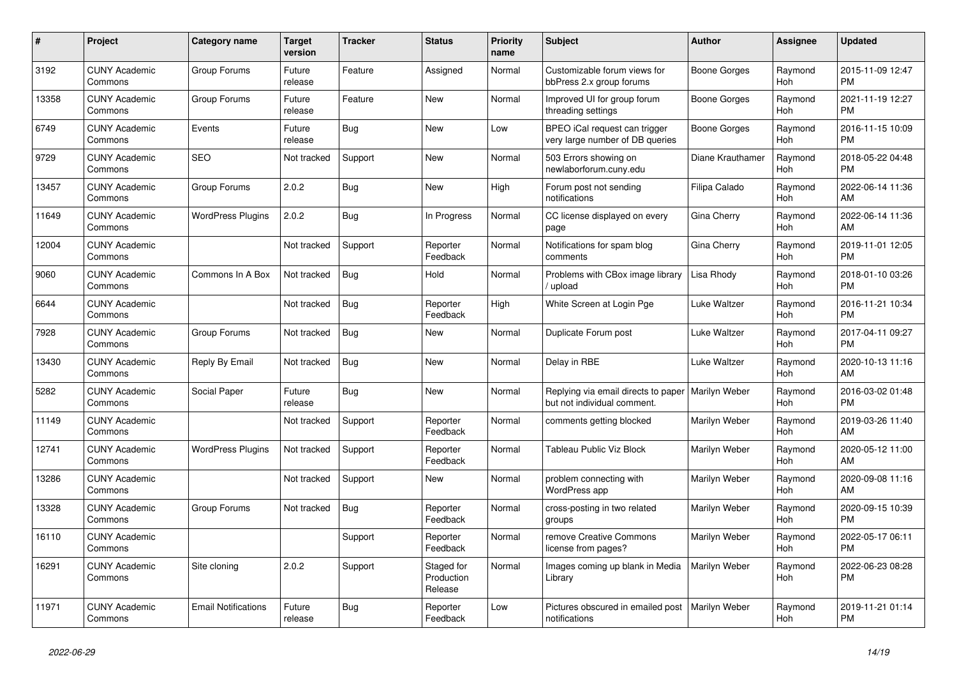| #     | Project                         | <b>Category name</b>       | <b>Target</b><br>version | <b>Tracker</b> | <b>Status</b>                       | Priority<br>name | <b>Subject</b>                                                                     | <b>Author</b>       | Assignee              | <b>Updated</b>                |
|-------|---------------------------------|----------------------------|--------------------------|----------------|-------------------------------------|------------------|------------------------------------------------------------------------------------|---------------------|-----------------------|-------------------------------|
| 3192  | <b>CUNY Academic</b><br>Commons | Group Forums               | Future<br>release        | Feature        | Assigned                            | Normal           | Customizable forum views for<br>bbPress 2.x group forums                           | Boone Gorges        | Raymond<br>Hoh        | 2015-11-09 12:47<br><b>PM</b> |
| 13358 | <b>CUNY Academic</b><br>Commons | Group Forums               | Future<br>release        | Feature        | New                                 | Normal           | Improved UI for group forum<br>threading settings                                  | Boone Gorges        | Raymond<br>Hoh        | 2021-11-19 12:27<br><b>PM</b> |
| 6749  | <b>CUNY Academic</b><br>Commons | Events                     | Future<br>release        | <b>Bug</b>     | New                                 | Low              | BPEO iCal request can trigger<br>very large number of DB queries                   | Boone Gorges        | Raymond<br><b>Hoh</b> | 2016-11-15 10:09<br><b>PM</b> |
| 9729  | <b>CUNY Academic</b><br>Commons | <b>SEO</b>                 | Not tracked              | Support        | <b>New</b>                          | Normal           | 503 Errors showing on<br>newlaborforum.cuny.edu                                    | Diane Krauthamer    | Raymond<br><b>Hoh</b> | 2018-05-22 04:48<br><b>PM</b> |
| 13457 | <b>CUNY Academic</b><br>Commons | Group Forums               | 2.0.2                    | <b>Bug</b>     | New                                 | High             | Forum post not sending<br>notifications                                            | Filipa Calado       | Raymond<br>Hoh        | 2022-06-14 11:36<br>AM        |
| 11649 | <b>CUNY Academic</b><br>Commons | <b>WordPress Plugins</b>   | 2.0.2                    | <b>Bug</b>     | In Progress                         | Normal           | CC license displayed on every<br>page                                              | Gina Cherry         | Raymond<br>Hoh        | 2022-06-14 11:36<br>AM        |
| 12004 | <b>CUNY Academic</b><br>Commons |                            | Not tracked              | Support        | Reporter<br>Feedback                | Normal           | Notifications for spam blog<br>comments                                            | Gina Cherry         | Raymond<br>Hoh        | 2019-11-01 12:05<br><b>PM</b> |
| 9060  | <b>CUNY Academic</b><br>Commons | Commons In A Box           | Not tracked              | Bug            | Hold                                | Normal           | Problems with CBox image library<br>/ upload                                       | Lisa Rhody          | Raymond<br>Hoh        | 2018-01-10 03:26<br><b>PM</b> |
| 6644  | <b>CUNY Academic</b><br>Commons |                            | Not tracked              | Bug            | Reporter<br>Feedback                | High             | White Screen at Login Pge                                                          | Luke Waltzer        | Raymond<br><b>Hoh</b> | 2016-11-21 10:34<br><b>PM</b> |
| 7928  | <b>CUNY Academic</b><br>Commons | Group Forums               | Not tracked              | <b>Bug</b>     | <b>New</b>                          | Normal           | Duplicate Forum post                                                               | <b>Luke Waltzer</b> | Raymond<br>Hoh        | 2017-04-11 09:27<br><b>PM</b> |
| 13430 | <b>CUNY Academic</b><br>Commons | Reply By Email             | Not tracked              | Bug            | New                                 | Normal           | Delay in RBE                                                                       | Luke Waltzer        | Raymond<br>Hoh        | 2020-10-13 11:16<br>AM        |
| 5282  | <b>CUNY Academic</b><br>Commons | Social Paper               | Future<br>release        | Bug            | <b>New</b>                          | Normal           | Replying via email directs to paper   Marilyn Weber<br>but not individual comment. |                     | Raymond<br><b>Hoh</b> | 2016-03-02 01:48<br><b>PM</b> |
| 11149 | <b>CUNY Academic</b><br>Commons |                            | Not tracked              | Support        | Reporter<br>Feedback                | Normal           | comments getting blocked                                                           | Marilyn Weber       | Raymond<br><b>Hoh</b> | 2019-03-26 11:40<br>AM        |
| 12741 | <b>CUNY Academic</b><br>Commons | <b>WordPress Plugins</b>   | Not tracked              | Support        | Reporter<br>Feedback                | Normal           | Tableau Public Viz Block                                                           | Marilyn Weber       | Raymond<br>Hoh        | 2020-05-12 11:00<br>AM        |
| 13286 | <b>CUNY Academic</b><br>Commons |                            | Not tracked              | Support        | New                                 | Normal           | problem connecting with<br><b>WordPress app</b>                                    | Marilyn Weber       | Raymond<br>Hoh        | 2020-09-08 11:16<br>AM        |
| 13328 | <b>CUNY Academic</b><br>Commons | Group Forums               | Not tracked              | <b>Bug</b>     | Reporter<br>Feedback                | Normal           | cross-posting in two related<br>groups                                             | Marilyn Weber       | Raymond<br>Hoh        | 2020-09-15 10:39<br><b>PM</b> |
| 16110 | <b>CUNY Academic</b><br>Commons |                            |                          | Support        | Reporter<br>Feedback                | Normal           | remove Creative Commons<br>license from pages?                                     | Marilyn Weber       | Raymond<br><b>Hoh</b> | 2022-05-17 06:11<br><b>PM</b> |
| 16291 | <b>CUNY Academic</b><br>Commons | Site cloning               | 2.0.2                    | Support        | Staged for<br>Production<br>Release | Normal           | Images coming up blank in Media<br>Library                                         | Marilyn Weber       | Raymond<br>Hoh        | 2022-06-23 08:28<br><b>PM</b> |
| 11971 | <b>CUNY Academic</b><br>Commons | <b>Email Notifications</b> | Future<br>release        | <b>Bug</b>     | Reporter<br>Feedback                | Low              | Pictures obscured in emailed post<br>notifications                                 | Marilyn Weber       | Raymond<br>Hoh        | 2019-11-21 01:14<br><b>PM</b> |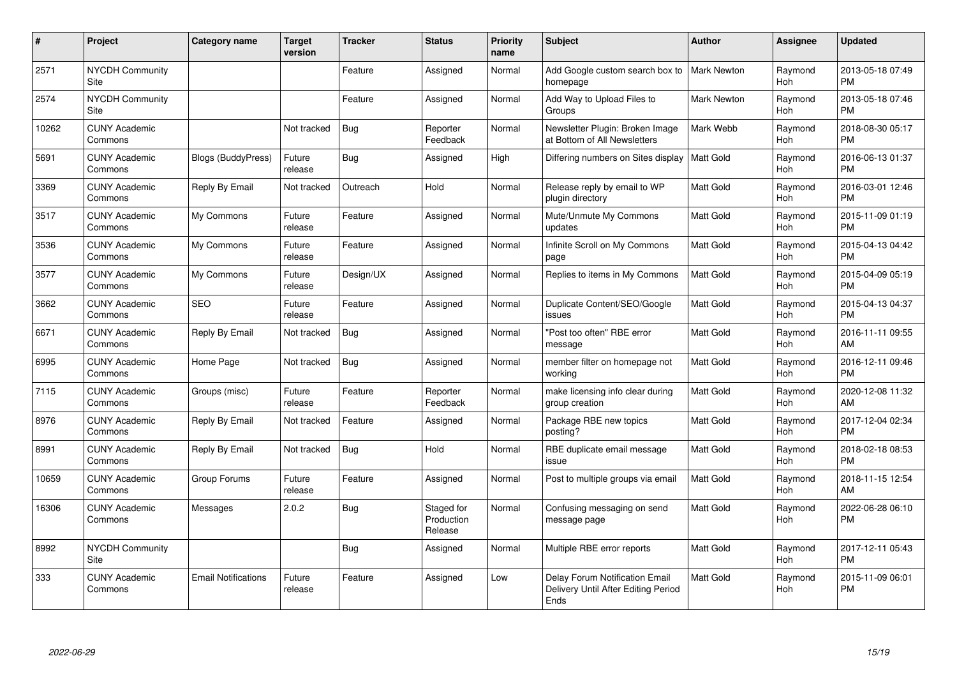| #     | Project                         | <b>Category name</b>       | <b>Target</b><br>version | <b>Tracker</b> | <b>Status</b>                       | Priority<br>name | <b>Subject</b>                                                                       | <b>Author</b>      | <b>Assignee</b>       | <b>Updated</b>                |
|-------|---------------------------------|----------------------------|--------------------------|----------------|-------------------------------------|------------------|--------------------------------------------------------------------------------------|--------------------|-----------------------|-------------------------------|
| 2571  | <b>NYCDH Community</b><br>Site  |                            |                          | Feature        | Assigned                            | Normal           | Add Google custom search box to<br>homepage                                          | <b>Mark Newton</b> | Raymond<br>Hoh        | 2013-05-18 07:49<br><b>PM</b> |
| 2574  | <b>NYCDH Community</b><br>Site  |                            |                          | Feature        | Assigned                            | Normal           | Add Way to Upload Files to<br>Groups                                                 | <b>Mark Newton</b> | Raymond<br><b>Hoh</b> | 2013-05-18 07:46<br><b>PM</b> |
| 10262 | <b>CUNY Academic</b><br>Commons |                            | Not tracked              | <b>Bug</b>     | Reporter<br>Feedback                | Normal           | Newsletter Plugin: Broken Image<br>at Bottom of All Newsletters                      | Mark Webb          | Raymond<br>Hoh        | 2018-08-30 05:17<br><b>PM</b> |
| 5691  | <b>CUNY Academic</b><br>Commons | <b>Blogs (BuddyPress)</b>  | Future<br>release        | Bug            | Assigned                            | High             | Differing numbers on Sites display                                                   | Matt Gold          | Raymond<br><b>Hoh</b> | 2016-06-13 01:37<br><b>PM</b> |
| 3369  | <b>CUNY Academic</b><br>Commons | Reply By Email             | Not tracked              | Outreach       | Hold                                | Normal           | Release reply by email to WP<br>plugin directory                                     | Matt Gold          | Raymond<br><b>Hoh</b> | 2016-03-01 12:46<br><b>PM</b> |
| 3517  | <b>CUNY Academic</b><br>Commons | My Commons                 | Future<br>release        | Feature        | Assigned                            | Normal           | Mute/Unmute My Commons<br>updates                                                    | Matt Gold          | Raymond<br><b>Hoh</b> | 2015-11-09 01:19<br><b>PM</b> |
| 3536  | <b>CUNY Academic</b><br>Commons | My Commons                 | Future<br>release        | Feature        | Assigned                            | Normal           | Infinite Scroll on My Commons<br>page                                                | Matt Gold          | Raymond<br><b>Hoh</b> | 2015-04-13 04:42<br><b>PM</b> |
| 3577  | <b>CUNY Academic</b><br>Commons | My Commons                 | Future<br>release        | Design/UX      | Assigned                            | Normal           | Replies to items in My Commons                                                       | <b>Matt Gold</b>   | Raymond<br>Hoh        | 2015-04-09 05:19<br><b>PM</b> |
| 3662  | <b>CUNY Academic</b><br>Commons | <b>SEO</b>                 | Future<br>release        | Feature        | Assigned                            | Normal           | Duplicate Content/SEO/Google<br>issues                                               | Matt Gold          | Raymond<br>Hoh        | 2015-04-13 04:37<br><b>PM</b> |
| 6671  | <b>CUNY Academic</b><br>Commons | Reply By Email             | Not tracked              | <b>Bug</b>     | Assigned                            | Normal           | "Post too often" RBE error<br>message                                                | Matt Gold          | Raymond<br>Hoh        | 2016-11-11 09:55<br>AM        |
| 6995  | <b>CUNY Academic</b><br>Commons | Home Page                  | Not tracked              | <b>Bug</b>     | Assigned                            | Normal           | member filter on homepage not<br>working                                             | <b>Matt Gold</b>   | Raymond<br><b>Hoh</b> | 2016-12-11 09:46<br><b>PM</b> |
| 7115  | <b>CUNY Academic</b><br>Commons | Groups (misc)              | Future<br>release        | Feature        | Reporter<br>Feedback                | Normal           | make licensing info clear during<br>group creation                                   | <b>Matt Gold</b>   | Raymond<br><b>Hoh</b> | 2020-12-08 11:32<br>AM        |
| 8976  | <b>CUNY Academic</b><br>Commons | Reply By Email             | Not tracked              | Feature        | Assigned                            | Normal           | Package RBE new topics<br>posting?                                                   | Matt Gold          | Raymond<br>Hoh        | 2017-12-04 02:34<br><b>PM</b> |
| 8991  | <b>CUNY Academic</b><br>Commons | Reply By Email             | Not tracked              | Bug            | Hold                                | Normal           | RBE duplicate email message<br>issue                                                 | Matt Gold          | Raymond<br><b>Hoh</b> | 2018-02-18 08:53<br><b>PM</b> |
| 10659 | <b>CUNY Academic</b><br>Commons | Group Forums               | Future<br>release        | Feature        | Assigned                            | Normal           | Post to multiple groups via email                                                    | <b>Matt Gold</b>   | Raymond<br>Hoh        | 2018-11-15 12:54<br>AM        |
| 16306 | <b>CUNY Academic</b><br>Commons | Messages                   | 2.0.2                    | <b>Bug</b>     | Staged for<br>Production<br>Release | Normal           | Confusing messaging on send<br>message page                                          | <b>Matt Gold</b>   | Raymond<br><b>Hoh</b> | 2022-06-28 06:10<br><b>PM</b> |
| 8992  | <b>NYCDH Community</b><br>Site  |                            |                          | Bug            | Assigned                            | Normal           | Multiple RBE error reports                                                           | <b>Matt Gold</b>   | Raymond<br>Hoh        | 2017-12-11 05:43<br><b>PM</b> |
| 333   | <b>CUNY Academic</b><br>Commons | <b>Email Notifications</b> | Future<br>release        | Feature        | Assigned                            | Low              | <b>Delay Forum Notification Email</b><br>Delivery Until After Editing Period<br>Ends | <b>Matt Gold</b>   | Raymond<br>Hoh        | 2015-11-09 06:01<br><b>PM</b> |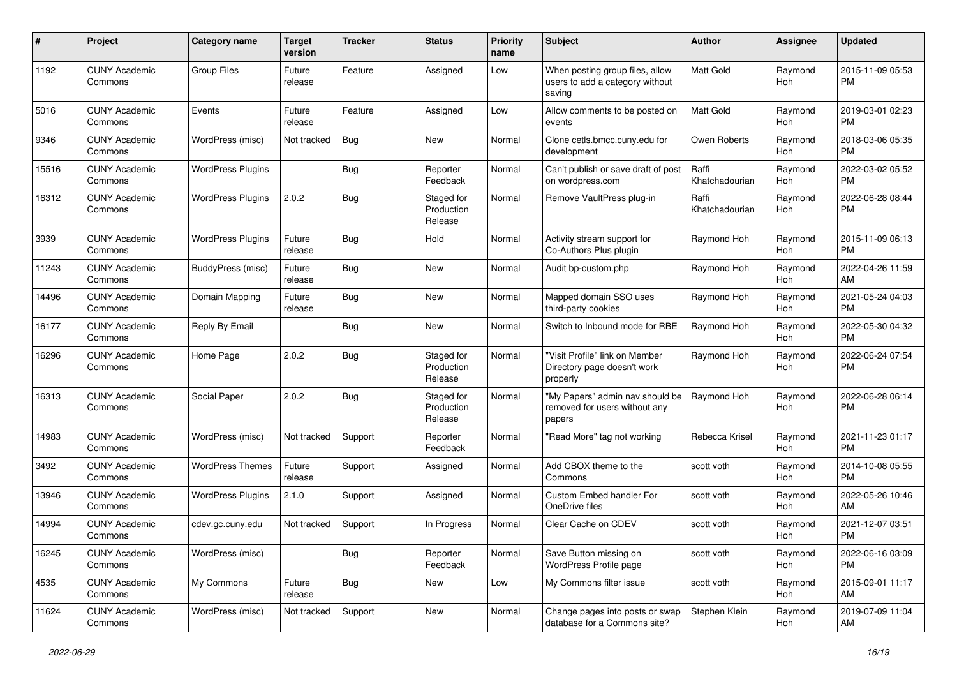| #     | Project                         | Category name            | <b>Target</b><br>version | <b>Tracker</b> | <b>Status</b>                       | <b>Priority</b><br>name | <b>Subject</b>                                                               | Author                  | Assignee              | <b>Updated</b>                |
|-------|---------------------------------|--------------------------|--------------------------|----------------|-------------------------------------|-------------------------|------------------------------------------------------------------------------|-------------------------|-----------------------|-------------------------------|
| 1192  | <b>CUNY Academic</b><br>Commons | <b>Group Files</b>       | Future<br>release        | Feature        | Assigned                            | Low                     | When posting group files, allow<br>users to add a category without<br>saving | Matt Gold               | Raymond<br>Hoh        | 2015-11-09 05:53<br>PM        |
| 5016  | <b>CUNY Academic</b><br>Commons | Events                   | Future<br>release        | Feature        | Assigned                            | Low                     | Allow comments to be posted on<br>events                                     | Matt Gold               | Raymond<br>Hoh        | 2019-03-01 02:23<br><b>PM</b> |
| 9346  | <b>CUNY Academic</b><br>Commons | WordPress (misc)         | Not tracked              | <b>Bug</b>     | New                                 | Normal                  | Clone cetls.bmcc.cuny.edu for<br>development                                 | Owen Roberts            | Raymond<br><b>Hoh</b> | 2018-03-06 05:35<br>PM        |
| 15516 | <b>CUNY Academic</b><br>Commons | <b>WordPress Plugins</b> |                          | Bug            | Reporter<br>Feedback                | Normal                  | Can't publish or save draft of post<br>on wordpress.com                      | Raffi<br>Khatchadourian | Raymond<br>Hoh        | 2022-03-02 05:52<br>PM        |
| 16312 | <b>CUNY Academic</b><br>Commons | <b>WordPress Plugins</b> | 2.0.2                    | Bug            | Staged for<br>Production<br>Release | Normal                  | Remove VaultPress plug-in                                                    | Raffi<br>Khatchadourian | Raymond<br>Hoh        | 2022-06-28 08:44<br><b>PM</b> |
| 3939  | <b>CUNY Academic</b><br>Commons | <b>WordPress Plugins</b> | Future<br>release        | Bug            | Hold                                | Normal                  | Activity stream support for<br>Co-Authors Plus plugin                        | Raymond Hoh             | Raymond<br><b>Hoh</b> | 2015-11-09 06:13<br><b>PM</b> |
| 11243 | <b>CUNY Academic</b><br>Commons | <b>BuddyPress (misc)</b> | Future<br>release        | <b>Bug</b>     | <b>New</b>                          | Normal                  | Audit bp-custom.php                                                          | Raymond Hoh             | Raymond<br><b>Hoh</b> | 2022-04-26 11:59<br>AM        |
| 14496 | <b>CUNY Academic</b><br>Commons | Domain Mapping           | Future<br>release        | Bug            | <b>New</b>                          | Normal                  | Mapped domain SSO uses<br>third-party cookies                                | Raymond Hoh             | Raymond<br>Hoh        | 2021-05-24 04:03<br>PM        |
| 16177 | <b>CUNY Academic</b><br>Commons | Reply By Email           |                          | Bug            | New                                 | Normal                  | Switch to Inbound mode for RBE                                               | Raymond Hoh             | Raymond<br>Hoh        | 2022-05-30 04:32<br>PM        |
| 16296 | <b>CUNY Academic</b><br>Commons | Home Page                | 2.0.2                    | Bug            | Staged for<br>Production<br>Release | Normal                  | "Visit Profile" link on Member<br>Directory page doesn't work<br>properly    | Raymond Hoh             | Raymond<br>Hoh        | 2022-06-24 07:54<br><b>PM</b> |
| 16313 | <b>CUNY Academic</b><br>Commons | Social Paper             | 2.0.2                    | Bug            | Staged for<br>Production<br>Release | Normal                  | "My Papers" admin nav should be<br>removed for users without any<br>papers   | Raymond Hoh             | Raymond<br>Hoh        | 2022-06-28 06:14<br><b>PM</b> |
| 14983 | <b>CUNY Academic</b><br>Commons | WordPress (misc)         | Not tracked              | Support        | Reporter<br>Feedback                | Normal                  | "Read More" tag not working                                                  | Rebecca Krisel          | Raymond<br>Hoh        | 2021-11-23 01:17<br><b>PM</b> |
| 3492  | <b>CUNY Academic</b><br>Commons | <b>WordPress Themes</b>  | Future<br>release        | Support        | Assigned                            | Normal                  | Add CBOX theme to the<br>Commons                                             | scott voth              | Raymond<br>Hoh        | 2014-10-08 05:55<br><b>PM</b> |
| 13946 | <b>CUNY Academic</b><br>Commons | <b>WordPress Plugins</b> | 2.1.0                    | Support        | Assigned                            | Normal                  | Custom Embed handler For<br>OneDrive files                                   | scott voth              | Raymond<br>Hoh        | 2022-05-26 10:46<br>AM        |
| 14994 | <b>CUNY Academic</b><br>Commons | cdev.gc.cuny.edu         | Not tracked              | Support        | In Progress                         | Normal                  | Clear Cache on CDEV                                                          | scott voth              | Raymond<br>Hoh        | 2021-12-07 03:51<br><b>PM</b> |
| 16245 | <b>CUNY Academic</b><br>Commons | WordPress (misc)         |                          | <b>Bug</b>     | Reporter<br>Feedback                | Normal                  | Save Button missing on<br>WordPress Profile page                             | scott voth              | Raymond<br>Hoh        | 2022-06-16 03:09<br><b>PM</b> |
| 4535  | <b>CUNY Academic</b><br>Commons | My Commons               | Future<br>release        | <b>Bug</b>     | New                                 | Low                     | My Commons filter issue                                                      | scott voth              | Raymond<br>Hoh        | 2015-09-01 11:17<br>AM        |
| 11624 | <b>CUNY Academic</b><br>Commons | WordPress (misc)         | Not tracked              | Support        | New                                 | Normal                  | Change pages into posts or swap<br>database for a Commons site?              | Stephen Klein           | Raymond<br>Hoh        | 2019-07-09 11:04<br>AM        |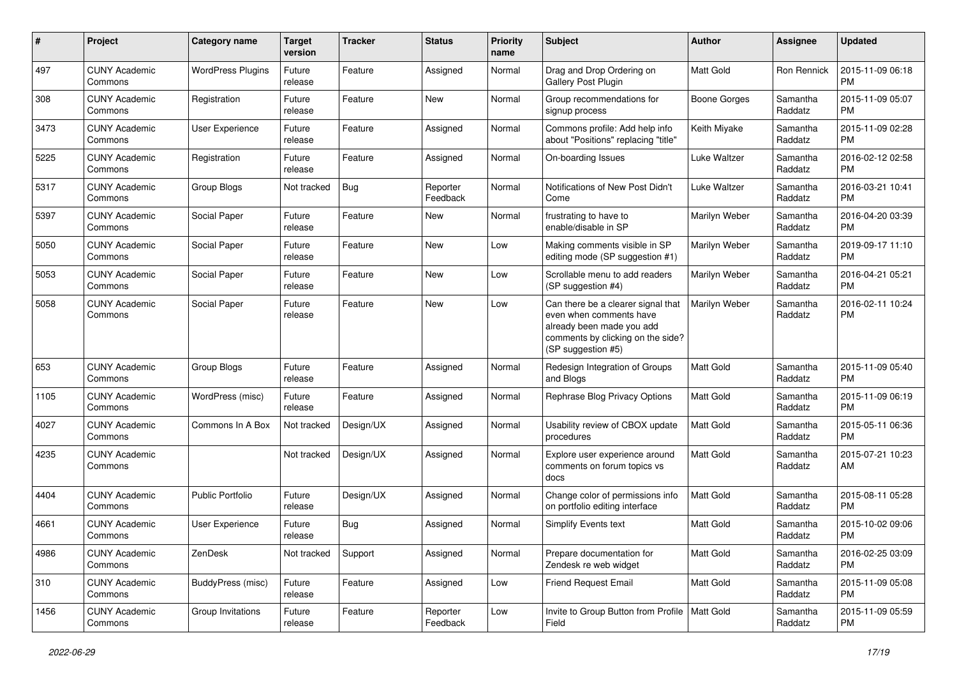| #    | Project                         | <b>Category name</b>     | <b>Target</b><br>version | <b>Tracker</b> | <b>Status</b>        | <b>Priority</b><br>name | Subject                                                                                                                                               | Author              | <b>Assignee</b>     | <b>Updated</b>                |
|------|---------------------------------|--------------------------|--------------------------|----------------|----------------------|-------------------------|-------------------------------------------------------------------------------------------------------------------------------------------------------|---------------------|---------------------|-------------------------------|
| 497  | <b>CUNY Academic</b><br>Commons | <b>WordPress Plugins</b> | Future<br>release        | Feature        | Assigned             | Normal                  | Drag and Drop Ordering on<br><b>Gallery Post Plugin</b>                                                                                               | <b>Matt Gold</b>    | Ron Rennick         | 2015-11-09 06:18<br><b>PM</b> |
| 308  | <b>CUNY Academic</b><br>Commons | Registration             | Future<br>release        | Feature        | <b>New</b>           | Normal                  | Group recommendations for<br>signup process                                                                                                           | <b>Boone Gorges</b> | Samantha<br>Raddatz | 2015-11-09 05:07<br><b>PM</b> |
| 3473 | <b>CUNY Academic</b><br>Commons | <b>User Experience</b>   | Future<br>release        | Feature        | Assigned             | Normal                  | Commons profile: Add help info<br>about "Positions" replacing "title"                                                                                 | Keith Miyake        | Samantha<br>Raddatz | 2015-11-09 02:28<br><b>PM</b> |
| 5225 | <b>CUNY Academic</b><br>Commons | Registration             | Future<br>release        | Feature        | Assigned             | Normal                  | On-boarding Issues                                                                                                                                    | Luke Waltzer        | Samantha<br>Raddatz | 2016-02-12 02:58<br><b>PM</b> |
| 5317 | <b>CUNY Academic</b><br>Commons | Group Blogs              | Not tracked              | <b>Bug</b>     | Reporter<br>Feedback | Normal                  | Notifications of New Post Didn't<br>Come                                                                                                              | <b>Luke Waltzer</b> | Samantha<br>Raddatz | 2016-03-21 10:41<br><b>PM</b> |
| 5397 | <b>CUNY Academic</b><br>Commons | Social Paper             | Future<br>release        | Feature        | <b>New</b>           | Normal                  | frustrating to have to<br>enable/disable in SP                                                                                                        | Marilyn Weber       | Samantha<br>Raddatz | 2016-04-20 03:39<br><b>PM</b> |
| 5050 | <b>CUNY Academic</b><br>Commons | Social Paper             | Future<br>release        | Feature        | <b>New</b>           | Low                     | Making comments visible in SP<br>editing mode (SP suggestion #1)                                                                                      | Marilyn Weber       | Samantha<br>Raddatz | 2019-09-17 11:10<br><b>PM</b> |
| 5053 | <b>CUNY Academic</b><br>Commons | Social Paper             | Future<br>release        | Feature        | <b>New</b>           | Low                     | Scrollable menu to add readers<br>(SP suggestion #4)                                                                                                  | Marilyn Weber       | Samantha<br>Raddatz | 2016-04-21 05:21<br><b>PM</b> |
| 5058 | <b>CUNY Academic</b><br>Commons | Social Paper             | Future<br>release        | Feature        | <b>New</b>           | Low                     | Can there be a clearer signal that<br>even when comments have<br>already been made you add<br>comments by clicking on the side?<br>(SP suggestion #5) | Marilyn Weber       | Samantha<br>Raddatz | 2016-02-11 10:24<br><b>PM</b> |
| 653  | <b>CUNY Academic</b><br>Commons | Group Blogs              | Future<br>release        | Feature        | Assigned             | Normal                  | Redesign Integration of Groups<br>and Blogs                                                                                                           | Matt Gold           | Samantha<br>Raddatz | 2015-11-09 05:40<br><b>PM</b> |
| 1105 | <b>CUNY Academic</b><br>Commons | WordPress (misc)         | Future<br>release        | Feature        | Assigned             | Normal                  | Rephrase Blog Privacy Options                                                                                                                         | Matt Gold           | Samantha<br>Raddatz | 2015-11-09 06:19<br><b>PM</b> |
| 4027 | <b>CUNY Academic</b><br>Commons | Commons In A Box         | Not tracked              | Design/UX      | Assigned             | Normal                  | Usability review of CBOX update<br>procedures                                                                                                         | <b>Matt Gold</b>    | Samantha<br>Raddatz | 2015-05-11 06:36<br><b>PM</b> |
| 4235 | <b>CUNY Academic</b><br>Commons |                          | Not tracked              | Design/UX      | Assigned             | Normal                  | Explore user experience around<br>comments on forum topics vs<br>docs                                                                                 | <b>Matt Gold</b>    | Samantha<br>Raddatz | 2015-07-21 10:23<br>AM        |
| 4404 | <b>CUNY Academic</b><br>Commons | <b>Public Portfolio</b>  | Future<br>release        | Design/UX      | Assigned             | Normal                  | Change color of permissions info<br>on portfolio editing interface                                                                                    | <b>Matt Gold</b>    | Samantha<br>Raddatz | 2015-08-11 05:28<br><b>PM</b> |
| 4661 | CUNY Academic<br>Commons        | <b>User Experience</b>   | Future<br>release        | Bug            | Assigned             | Normal                  | <b>Simplify Events text</b>                                                                                                                           | <b>Matt Gold</b>    | Samantha<br>Raddatz | 2015-10-02 09:06<br>PM        |
| 4986 | <b>CUNY Academic</b><br>Commons | ZenDesk                  | Not tracked              | Support        | Assigned             | Normal                  | Prepare documentation for<br>Zendesk re web widget                                                                                                    | Matt Gold           | Samantha<br>Raddatz | 2016-02-25 03:09<br><b>PM</b> |
| 310  | <b>CUNY Academic</b><br>Commons | <b>BuddyPress (misc)</b> | Future<br>release        | Feature        | Assigned             | Low                     | <b>Friend Request Email</b>                                                                                                                           | Matt Gold           | Samantha<br>Raddatz | 2015-11-09 05:08<br>PM        |
| 1456 | <b>CUNY Academic</b><br>Commons | Group Invitations        | Future<br>release        | Feature        | Reporter<br>Feedback | Low                     | Invite to Group Button from Profile   Matt Gold<br>Field                                                                                              |                     | Samantha<br>Raddatz | 2015-11-09 05:59<br>PM        |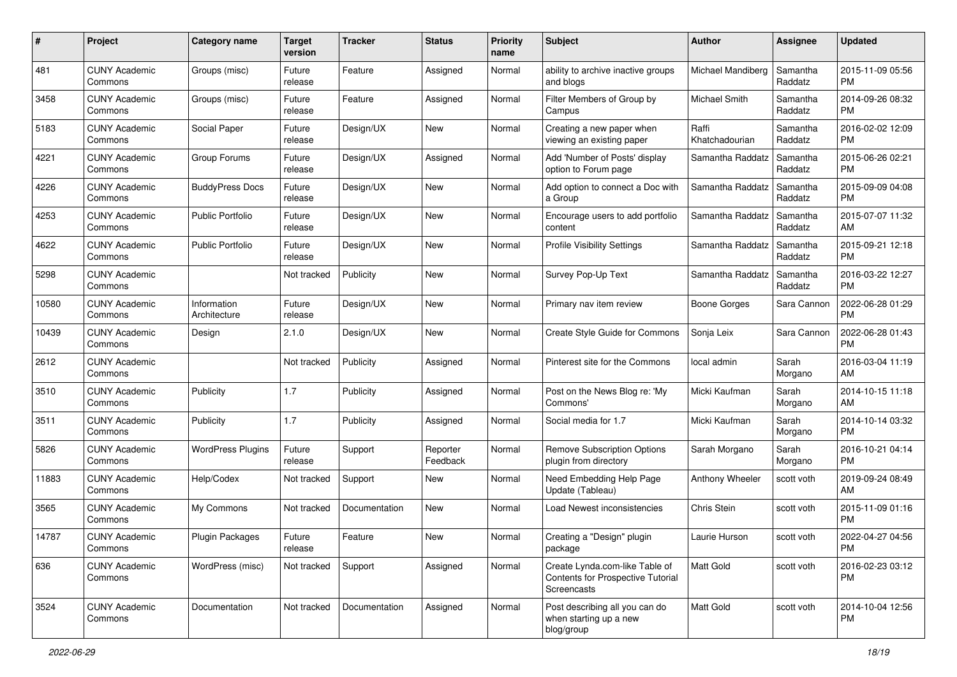| #     | Project                         | <b>Category name</b>        | <b>Target</b><br>version | <b>Tracker</b> | <b>Status</b>        | <b>Priority</b><br>name | Subject                                                                            | Author                  | <b>Assignee</b>     | <b>Updated</b>                |
|-------|---------------------------------|-----------------------------|--------------------------|----------------|----------------------|-------------------------|------------------------------------------------------------------------------------|-------------------------|---------------------|-------------------------------|
| 481   | <b>CUNY Academic</b><br>Commons | Groups (misc)               | Future<br>release        | Feature        | Assigned             | Normal                  | ability to archive inactive groups<br>and blogs                                    | Michael Mandiberg       | Samantha<br>Raddatz | 2015-11-09 05:56<br><b>PM</b> |
| 3458  | <b>CUNY Academic</b><br>Commons | Groups (misc)               | Future<br>release        | Feature        | Assigned             | Normal                  | Filter Members of Group by<br>Campus                                               | Michael Smith           | Samantha<br>Raddatz | 2014-09-26 08:32<br><b>PM</b> |
| 5183  | <b>CUNY Academic</b><br>Commons | Social Paper                | Future<br>release        | Design/UX      | New                  | Normal                  | Creating a new paper when<br>viewing an existing paper                             | Raffi<br>Khatchadourian | Samantha<br>Raddatz | 2016-02-02 12:09<br>PM        |
| 4221  | <b>CUNY Academic</b><br>Commons | Group Forums                | Future<br>release        | Design/UX      | Assigned             | Normal                  | Add 'Number of Posts' display<br>option to Forum page                              | Samantha Raddatz        | Samantha<br>Raddatz | 2015-06-26 02:21<br><b>PM</b> |
| 4226  | <b>CUNY Academic</b><br>Commons | <b>BuddyPress Docs</b>      | Future<br>release        | Design/UX      | <b>New</b>           | Normal                  | Add option to connect a Doc with<br>a Group                                        | Samantha Raddatz        | Samantha<br>Raddatz | 2015-09-09 04:08<br><b>PM</b> |
| 4253  | <b>CUNY Academic</b><br>Commons | <b>Public Portfolio</b>     | Future<br>release        | Design/UX      | <b>New</b>           | Normal                  | Encourage users to add portfolio<br>content                                        | Samantha Raddatz        | Samantha<br>Raddatz | 2015-07-07 11:32<br>AM        |
| 4622  | <b>CUNY Academic</b><br>Commons | <b>Public Portfolio</b>     | Future<br>release        | Design/UX      | New                  | Normal                  | <b>Profile Visibility Settings</b>                                                 | Samantha Raddatz        | Samantha<br>Raddatz | 2015-09-21 12:18<br><b>PM</b> |
| 5298  | <b>CUNY Academic</b><br>Commons |                             | Not tracked              | Publicity      | <b>New</b>           | Normal                  | Survey Pop-Up Text                                                                 | Samantha Raddatz        | Samantha<br>Raddatz | 2016-03-22 12:27<br><b>PM</b> |
| 10580 | <b>CUNY Academic</b><br>Commons | Information<br>Architecture | Future<br>release        | Design/UX      | <b>New</b>           | Normal                  | Primary nav item review                                                            | Boone Gorges            | Sara Cannon         | 2022-06-28 01:29<br><b>PM</b> |
| 10439 | <b>CUNY Academic</b><br>Commons | Design                      | 2.1.0                    | Design/UX      | <b>New</b>           | Normal                  | Create Style Guide for Commons                                                     | Sonja Leix              | Sara Cannon         | 2022-06-28 01:43<br><b>PM</b> |
| 2612  | <b>CUNY Academic</b><br>Commons |                             | Not tracked              | Publicity      | Assigned             | Normal                  | Pinterest site for the Commons                                                     | local admin             | Sarah<br>Morgano    | 2016-03-04 11:19<br>AM        |
| 3510  | <b>CUNY Academic</b><br>Commons | Publicity                   | 1.7                      | Publicity      | Assigned             | Normal                  | Post on the News Blog re: 'My<br>Commons'                                          | Micki Kaufman           | Sarah<br>Morgano    | 2014-10-15 11:18<br>AM        |
| 3511  | <b>CUNY Academic</b><br>Commons | Publicity                   | 1.7                      | Publicity      | Assigned             | Normal                  | Social media for 1.7                                                               | Micki Kaufman           | Sarah<br>Morgano    | 2014-10-14 03:32<br><b>PM</b> |
| 5826  | <b>CUNY Academic</b><br>Commons | <b>WordPress Plugins</b>    | Future<br>release        | Support        | Reporter<br>Feedback | Normal                  | <b>Remove Subscription Options</b><br>plugin from directory                        | Sarah Morgano           | Sarah<br>Morgano    | 2016-10-21 04:14<br><b>PM</b> |
| 11883 | <b>CUNY Academic</b><br>Commons | Help/Codex                  | Not tracked              | Support        | New                  | Normal                  | Need Embedding Help Page<br>Update (Tableau)                                       | Anthony Wheeler         | scott voth          | 2019-09-24 08:49<br>AM        |
| 3565  | <b>CUNY Academic</b><br>Commons | My Commons                  | Not tracked              | Documentation  | <b>New</b>           | Normal                  | Load Newest inconsistencies                                                        | Chris Stein             | scott voth          | 2015-11-09 01:16<br><b>PM</b> |
| 14787 | <b>CUNY Academic</b><br>Commons | Plugin Packages             | Future<br>release        | Feature        | <b>New</b>           | Normal                  | Creating a "Design" plugin<br>package                                              | Laurie Hurson           | scott voth          | 2022-04-27 04:56<br>PM        |
| 636   | <b>CUNY Academic</b><br>Commons | WordPress (misc)            | Not tracked              | Support        | Assigned             | Normal                  | Create Lynda.com-like Table of<br>Contents for Prospective Tutorial<br>Screencasts | Matt Gold               | scott voth          | 2016-02-23 03:12<br><b>PM</b> |
| 3524  | <b>CUNY Academic</b><br>Commons | Documentation               | Not tracked              | Documentation  | Assigned             | Normal                  | Post describing all you can do<br>when starting up a new<br>blog/group             | Matt Gold               | scott voth          | 2014-10-04 12:56<br>PM        |